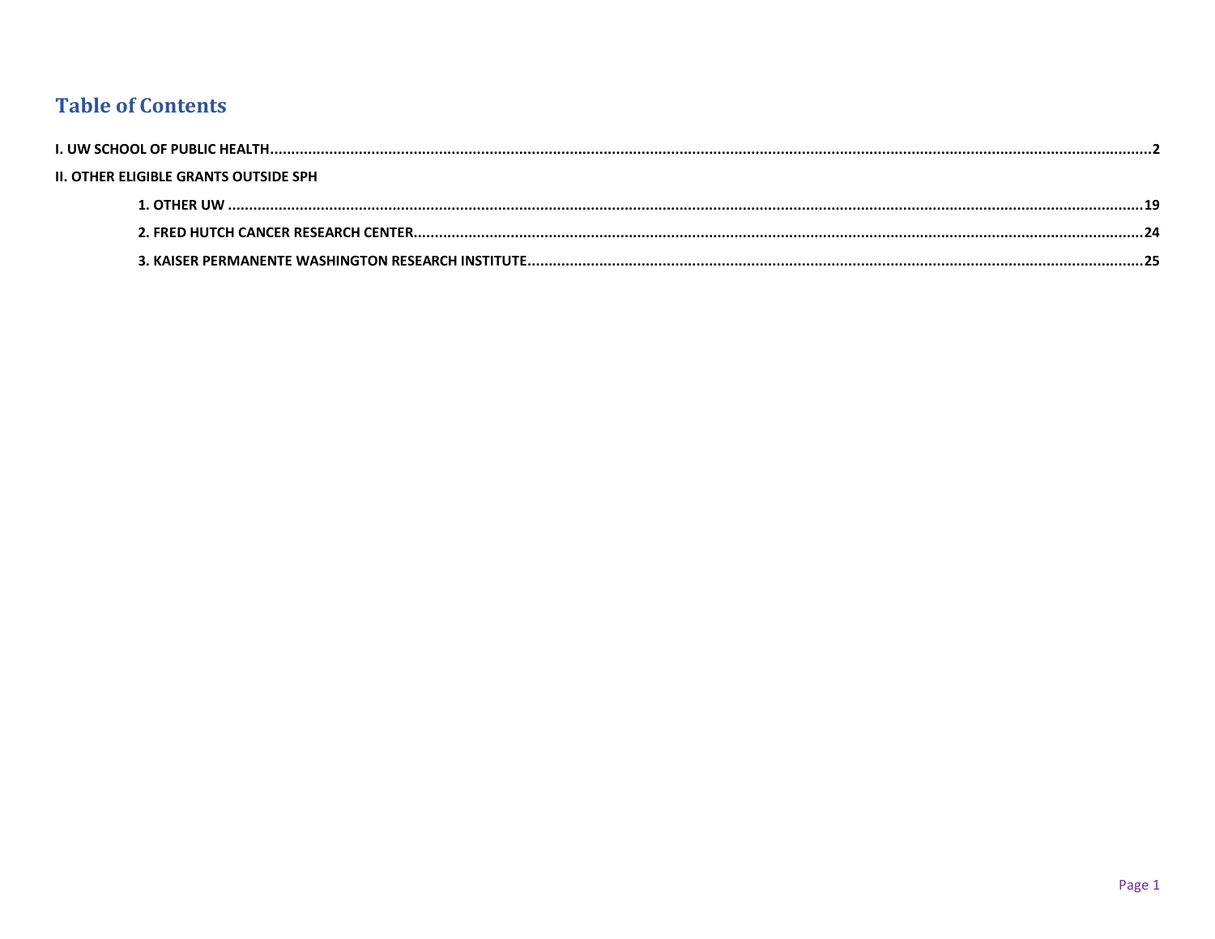#### **Table of Contents**

| <b>II. OTHER ELIGIBLE GRANTS OUTSIDE SPH</b> |  |
|----------------------------------------------|--|
|                                              |  |
|                                              |  |
|                                              |  |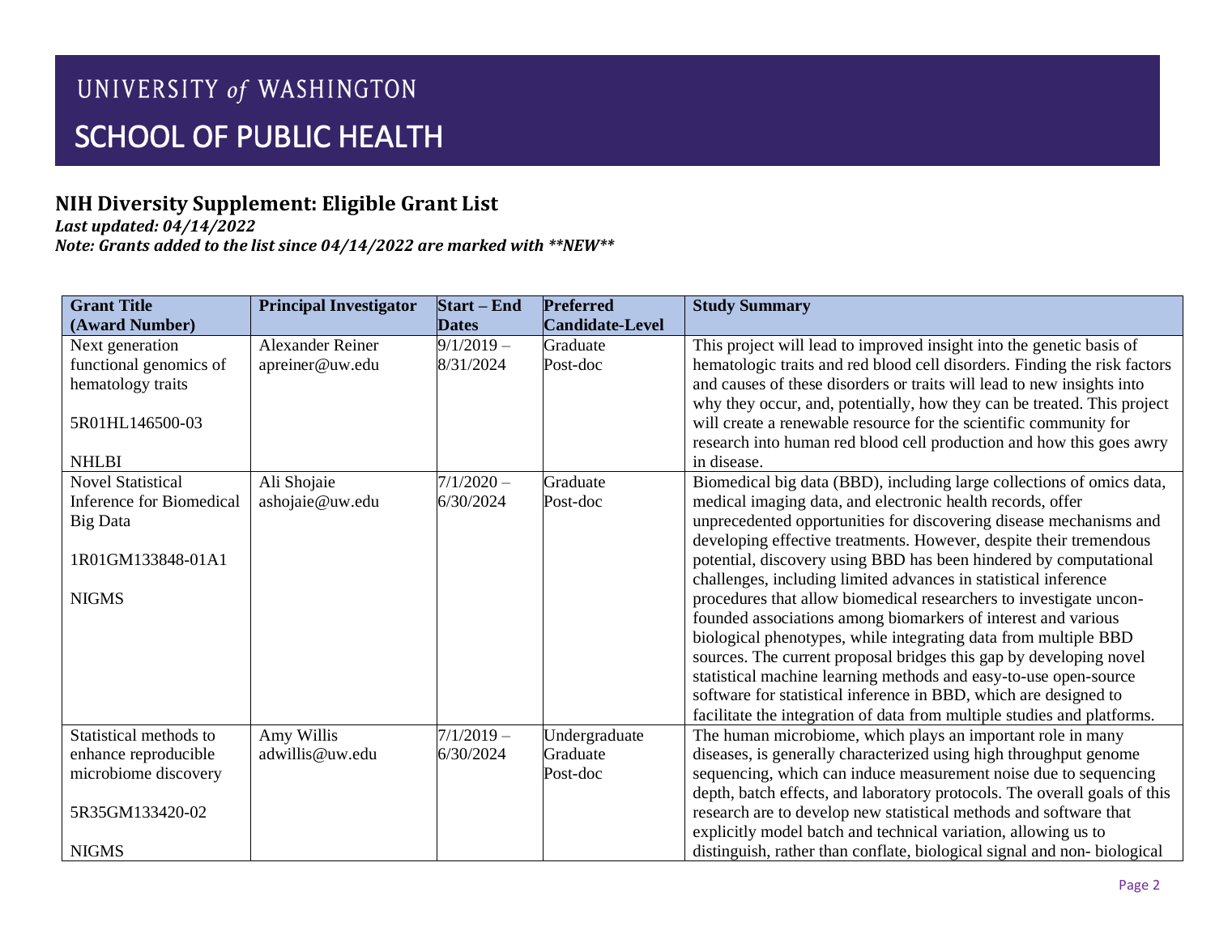## **NIH Diversity Supplement: Eligible Grant List**

*Last updated: 04/14/2022*

| <b>Grant Title</b>                           | <b>Principal Investigator</b>  | <b>Start</b> – End        | <b>Preferred</b>          | <b>Study Summary</b>                                                                                                                  |
|----------------------------------------------|--------------------------------|---------------------------|---------------------------|---------------------------------------------------------------------------------------------------------------------------------------|
| (Award Number)                               |                                | <b>Dates</b>              | <b>Candidate-Level</b>    |                                                                                                                                       |
| Next generation                              | <b>Alexander Reiner</b>        | $9/1/2019 -$              | Graduate                  | This project will lead to improved insight into the genetic basis of                                                                  |
| functional genomics of                       | apreiner@uw.edu                | 8/31/2024                 | Post-doc                  | hematologic traits and red blood cell disorders. Finding the risk factors                                                             |
| hematology traits                            |                                |                           |                           | and causes of these disorders or traits will lead to new insights into                                                                |
|                                              |                                |                           |                           | why they occur, and, potentially, how they can be treated. This project                                                               |
| 5R01HL146500-03                              |                                |                           |                           | will create a renewable resource for the scientific community for                                                                     |
|                                              |                                |                           |                           | research into human red blood cell production and how this goes awry                                                                  |
| <b>NHLBI</b><br><b>Novel Statistical</b>     |                                |                           | Graduate                  | in disease.                                                                                                                           |
| Inference for Biomedical                     | Ali Shojaie<br>ashojaie@uw.edu | $7/1/2020 -$<br>6/30/2024 | Post-doc                  | Biomedical big data (BBD), including large collections of omics data,<br>medical imaging data, and electronic health records, offer   |
| Big Data                                     |                                |                           |                           | unprecedented opportunities for discovering disease mechanisms and                                                                    |
|                                              |                                |                           |                           | developing effective treatments. However, despite their tremendous                                                                    |
| 1R01GM133848-01A1                            |                                |                           |                           | potential, discovery using BBD has been hindered by computational                                                                     |
|                                              |                                |                           |                           | challenges, including limited advances in statistical inference                                                                       |
| <b>NIGMS</b>                                 |                                |                           |                           | procedures that allow biomedical researchers to investigate uncon-                                                                    |
|                                              |                                |                           |                           | founded associations among biomarkers of interest and various                                                                         |
|                                              |                                |                           |                           | biological phenotypes, while integrating data from multiple BBD                                                                       |
|                                              |                                |                           |                           | sources. The current proposal bridges this gap by developing novel                                                                    |
|                                              |                                |                           |                           | statistical machine learning methods and easy-to-use open-source                                                                      |
|                                              |                                |                           |                           | software for statistical inference in BBD, which are designed to                                                                      |
|                                              |                                |                           |                           | facilitate the integration of data from multiple studies and platforms.                                                               |
| Statistical methods to                       | Amy Willis<br>adwillis@uw.edu  | $7/1/2019 -$              | Undergraduate<br>Graduate | The human microbiome, which plays an important role in many                                                                           |
| enhance reproducible<br>microbiome discovery |                                | 6/30/2024                 | Post-doc                  | diseases, is generally characterized using high throughput genome<br>sequencing, which can induce measurement noise due to sequencing |
|                                              |                                |                           |                           | depth, batch effects, and laboratory protocols. The overall goals of this                                                             |
| 5R35GM133420-02                              |                                |                           |                           | research are to develop new statistical methods and software that                                                                     |
|                                              |                                |                           |                           | explicitly model batch and technical variation, allowing us to                                                                        |
| <b>NIGMS</b>                                 |                                |                           |                           | distinguish, rather than conflate, biological signal and non-biological                                                               |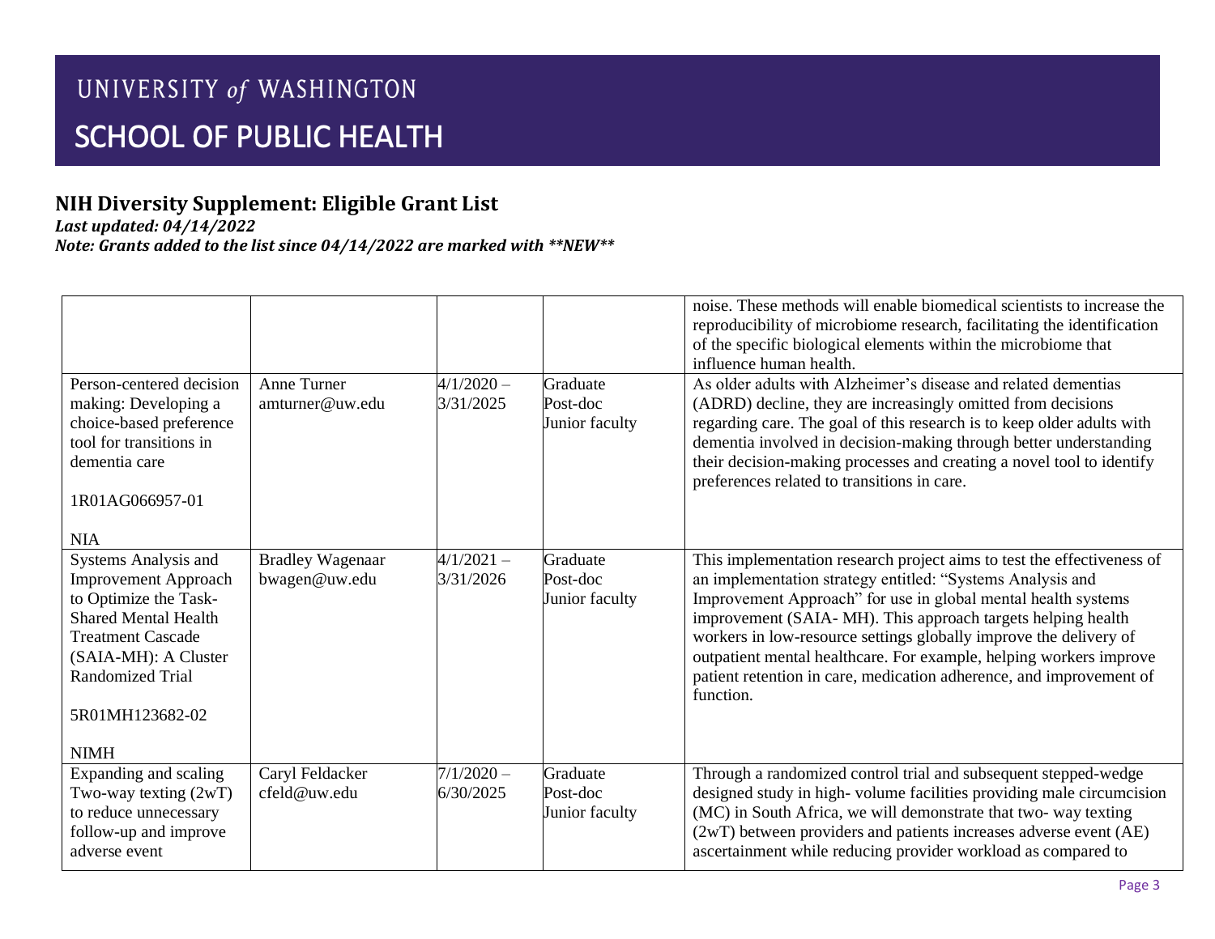## **NIH Diversity Supplement: Eligible Grant List**

*Last updated: 04/14/2022*

|                                                                                                                                                                                                                              |                                          |                           |                                        | noise. These methods will enable biomedical scientists to increase the<br>reproducibility of microbiome research, facilitating the identification<br>of the specific biological elements within the microbiome that<br>influence human health.                                                                                                                                                                                                                                                      |
|------------------------------------------------------------------------------------------------------------------------------------------------------------------------------------------------------------------------------|------------------------------------------|---------------------------|----------------------------------------|-----------------------------------------------------------------------------------------------------------------------------------------------------------------------------------------------------------------------------------------------------------------------------------------------------------------------------------------------------------------------------------------------------------------------------------------------------------------------------------------------------|
| Person-centered decision<br>making: Developing a<br>choice-based preference<br>tool for transitions in<br>dementia care<br>1R01AG066957-01<br><b>NIA</b>                                                                     | Anne Turner<br>amturner@uw.edu           | $4/1/2020 -$<br>3/31/2025 | Graduate<br>Post-doc<br>Junior faculty | As older adults with Alzheimer's disease and related dementias<br>(ADRD) decline, they are increasingly omitted from decisions<br>regarding care. The goal of this research is to keep older adults with<br>dementia involved in decision-making through better understanding<br>their decision-making processes and creating a novel tool to identify<br>preferences related to transitions in care.                                                                                               |
| Systems Analysis and<br><b>Improvement Approach</b><br>to Optimize the Task-<br><b>Shared Mental Health</b><br><b>Treatment Cascade</b><br>(SAIA-MH): A Cluster<br><b>Randomized Trial</b><br>5R01MH123682-02<br><b>NIMH</b> | <b>Bradley Wagenaar</b><br>bwagen@uw.edu | $4/1/2021 -$<br>3/31/2026 | Graduate<br>Post-doc<br>Junior faculty | This implementation research project aims to test the effectiveness of<br>an implementation strategy entitled: "Systems Analysis and<br>Improvement Approach" for use in global mental health systems<br>improvement (SAIA-MH). This approach targets helping health<br>workers in low-resource settings globally improve the delivery of<br>outpatient mental healthcare. For example, helping workers improve<br>patient retention in care, medication adherence, and improvement of<br>function. |
| Expanding and scaling<br>Two-way texting $(2WT)$<br>to reduce unnecessary<br>follow-up and improve<br>adverse event                                                                                                          | Caryl Feldacker<br>cfeld@uw.edu          | $7/1/2020 -$<br>6/30/2025 | Graduate<br>Post-doc<br>Junior faculty | Through a randomized control trial and subsequent stepped-wedge<br>designed study in high-volume facilities providing male circumcision<br>(MC) in South Africa, we will demonstrate that two-way texting<br>(2wT) between providers and patients increases adverse event (AE)<br>ascertainment while reducing provider workload as compared to                                                                                                                                                     |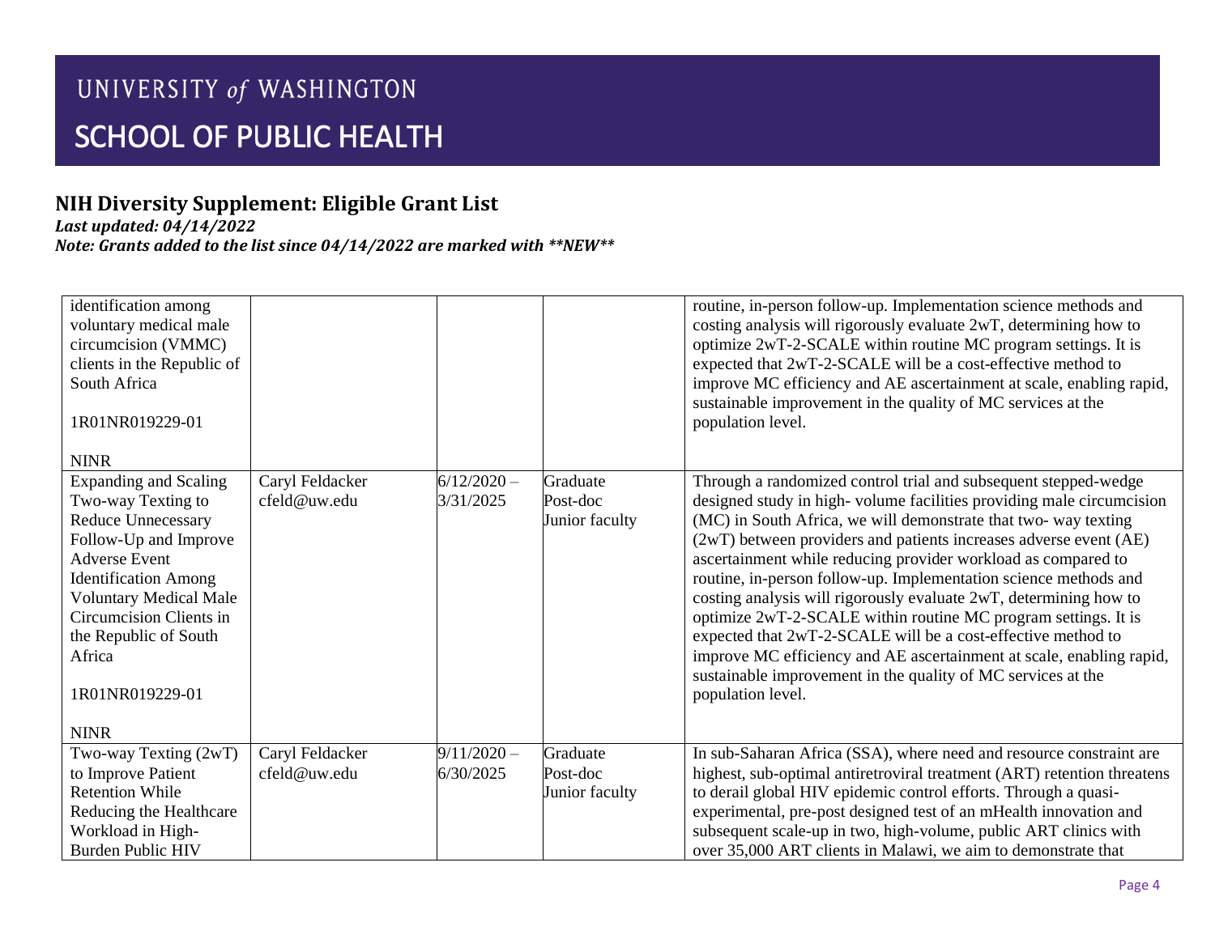## **NIH Diversity Supplement: Eligible Grant List**

*Last updated: 04/14/2022*

| identification among<br>voluntary medical male<br>circumcision (VMMC)<br>clients in the Republic of<br>South Africa<br>1R01NR019229-01<br><b>NINR</b>                                                                                                                                            |                                 |                            |                                        | routine, in-person follow-up. Implementation science methods and<br>costing analysis will rigorously evaluate 2wT, determining how to<br>optimize 2wT-2-SCALE within routine MC program settings. It is<br>expected that 2wT-2-SCALE will be a cost-effective method to<br>improve MC efficiency and AE ascertainment at scale, enabling rapid,<br>sustainable improvement in the quality of MC services at the<br>population level.                                                                                                                                                                                                                                                                                                                                                    |
|--------------------------------------------------------------------------------------------------------------------------------------------------------------------------------------------------------------------------------------------------------------------------------------------------|---------------------------------|----------------------------|----------------------------------------|-----------------------------------------------------------------------------------------------------------------------------------------------------------------------------------------------------------------------------------------------------------------------------------------------------------------------------------------------------------------------------------------------------------------------------------------------------------------------------------------------------------------------------------------------------------------------------------------------------------------------------------------------------------------------------------------------------------------------------------------------------------------------------------------|
| <b>Expanding and Scaling</b><br>Two-way Texting to<br><b>Reduce Unnecessary</b><br>Follow-Up and Improve<br><b>Adverse Event</b><br><b>Identification Among</b><br><b>Voluntary Medical Male</b><br>Circumcision Clients in<br>the Republic of South<br>Africa<br>1R01NR019229-01<br><b>NINR</b> | Caryl Feldacker<br>cfeld@uw.edu | $6/12/2020 -$<br>3/31/2025 | Graduate<br>Post-doc<br>Junior faculty | Through a randomized control trial and subsequent stepped-wedge<br>designed study in high-volume facilities providing male circumcision<br>(MC) in South Africa, we will demonstrate that two-way texting<br>(2wT) between providers and patients increases adverse event (AE)<br>ascertainment while reducing provider workload as compared to<br>routine, in-person follow-up. Implementation science methods and<br>costing analysis will rigorously evaluate 2wT, determining how to<br>optimize 2wT-2-SCALE within routine MC program settings. It is<br>expected that 2wT-2-SCALE will be a cost-effective method to<br>improve MC efficiency and AE ascertainment at scale, enabling rapid,<br>sustainable improvement in the quality of MC services at the<br>population level. |
| Two-way Texting (2wT)<br>to Improve Patient<br><b>Retention While</b><br>Reducing the Healthcare<br>Workload in High-<br><b>Burden Public HIV</b>                                                                                                                                                | Caryl Feldacker<br>cfeld@uw.edu | $9/11/2020 -$<br>6/30/2025 | Graduate<br>Post-doc<br>Junior faculty | In sub-Saharan Africa (SSA), where need and resource constraint are<br>highest, sub-optimal antiretroviral treatment (ART) retention threatens<br>to derail global HIV epidemic control efforts. Through a quasi-<br>experimental, pre-post designed test of an mHealth innovation and<br>subsequent scale-up in two, high-volume, public ART clinics with<br>over 35,000 ART clients in Malawi, we aim to demonstrate that                                                                                                                                                                                                                                                                                                                                                             |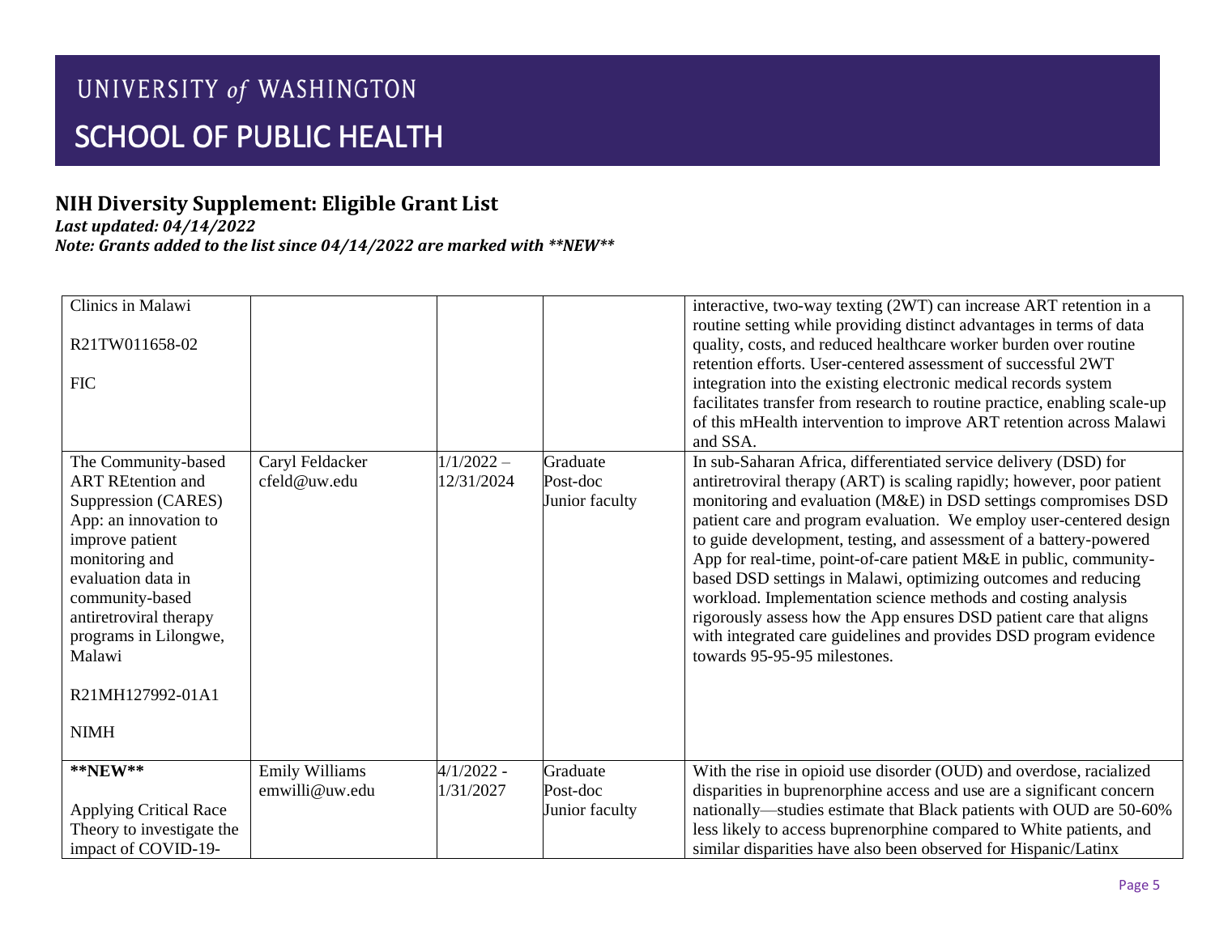## **NIH Diversity Supplement: Eligible Grant List**

*Last updated: 04/14/2022*

| Clinics in Malawi<br>R21TW011658-02<br><b>FIC</b>                                                                                                                                                                                                                             |                                         |                            |                                        | interactive, two-way texting (2WT) can increase ART retention in a<br>routine setting while providing distinct advantages in terms of data<br>quality, costs, and reduced healthcare worker burden over routine<br>retention efforts. User-centered assessment of successful 2WT<br>integration into the existing electronic medical records system<br>facilitates transfer from research to routine practice, enabling scale-up<br>of this mHealth intervention to improve ART retention across Malawi<br>and SSA.                                                                                                                                                                                                                            |
|-------------------------------------------------------------------------------------------------------------------------------------------------------------------------------------------------------------------------------------------------------------------------------|-----------------------------------------|----------------------------|----------------------------------------|------------------------------------------------------------------------------------------------------------------------------------------------------------------------------------------------------------------------------------------------------------------------------------------------------------------------------------------------------------------------------------------------------------------------------------------------------------------------------------------------------------------------------------------------------------------------------------------------------------------------------------------------------------------------------------------------------------------------------------------------|
| The Community-based<br><b>ART REtention and</b><br>Suppression (CARES)<br>App: an innovation to<br>improve patient<br>monitoring and<br>evaluation data in<br>community-based<br>antiretroviral therapy<br>programs in Lilongwe,<br>Malawi<br>R21MH127992-01A1<br><b>NIMH</b> | Caryl Feldacker<br>cfeld@uw.edu         | $1/1/2022 -$<br>12/31/2024 | Graduate<br>Post-doc<br>Junior faculty | In sub-Saharan Africa, differentiated service delivery (DSD) for<br>antiretroviral therapy (ART) is scaling rapidly; however, poor patient<br>monitoring and evaluation (M&E) in DSD settings compromises DSD<br>patient care and program evaluation. We employ user-centered design<br>to guide development, testing, and assessment of a battery-powered<br>App for real-time, point-of-care patient M&E in public, community-<br>based DSD settings in Malawi, optimizing outcomes and reducing<br>workload. Implementation science methods and costing analysis<br>rigorously assess how the App ensures DSD patient care that aligns<br>with integrated care guidelines and provides DSD program evidence<br>towards 95-95-95 milestones. |
| $*$ <b>NEW</b> **<br><b>Applying Critical Race</b><br>Theory to investigate the<br>impact of COVID-19-                                                                                                                                                                        | <b>Emily Williams</b><br>emwilli@uw.edu | $4/1/2022 -$<br>1/31/2027  | Graduate<br>Post-doc<br>Junior faculty | With the rise in opioid use disorder (OUD) and overdose, racialized<br>disparities in buprenorphine access and use are a significant concern<br>nationally—studies estimate that Black patients with OUD are 50-60%<br>less likely to access buprenorphine compared to White patients, and<br>similar disparities have also been observed for Hispanic/Latinx                                                                                                                                                                                                                                                                                                                                                                                  |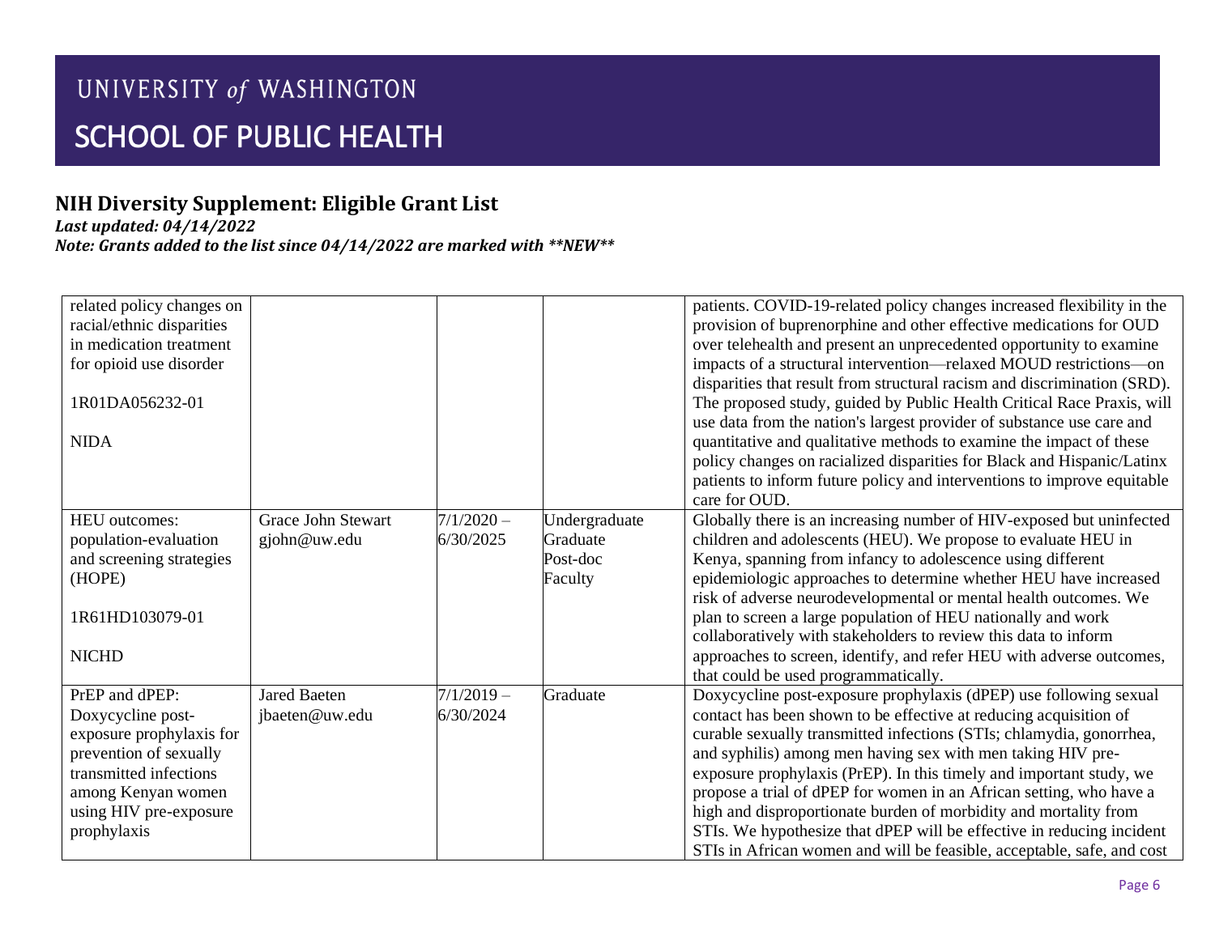## **NIH Diversity Supplement: Eligible Grant List**

*Last updated: 04/14/2022*

| related policy changes on<br>racial/ethnic disparities<br>in medication treatment<br>for opioid use disorder<br>1R01DA056232-01<br><b>NIDA</b>                                     |                                       |                           |                                                  | patients. COVID-19-related policy changes increased flexibility in the<br>provision of buprenorphine and other effective medications for OUD<br>over telehealth and present an unprecedented opportunity to examine<br>impacts of a structural intervention—relaxed MOUD restrictions—on<br>disparities that result from structural racism and discrimination (SRD).<br>The proposed study, guided by Public Health Critical Race Praxis, will<br>use data from the nation's largest provider of substance use care and<br>quantitative and qualitative methods to examine the impact of these<br>policy changes on racialized disparities for Black and Hispanic/Latinx<br>patients to inform future policy and interventions to improve equitable |
|------------------------------------------------------------------------------------------------------------------------------------------------------------------------------------|---------------------------------------|---------------------------|--------------------------------------------------|-----------------------------------------------------------------------------------------------------------------------------------------------------------------------------------------------------------------------------------------------------------------------------------------------------------------------------------------------------------------------------------------------------------------------------------------------------------------------------------------------------------------------------------------------------------------------------------------------------------------------------------------------------------------------------------------------------------------------------------------------------|
|                                                                                                                                                                                    |                                       |                           |                                                  | care for OUD.                                                                                                                                                                                                                                                                                                                                                                                                                                                                                                                                                                                                                                                                                                                                       |
| <b>HEU</b> outcomes:<br>population-evaluation<br>and screening strategies<br>(HOPE)<br>1R61HD103079-01<br><b>NICHD</b>                                                             | Grace John Stewart<br>gjohn@uw.edu    | $7/1/2020 -$<br>6/30/2025 | Undergraduate<br>Graduate<br>Post-doc<br>Faculty | Globally there is an increasing number of HIV-exposed but uninfected<br>children and adolescents (HEU). We propose to evaluate HEU in<br>Kenya, spanning from infancy to adolescence using different<br>epidemiologic approaches to determine whether HEU have increased<br>risk of adverse neurodevelopmental or mental health outcomes. We<br>plan to screen a large population of HEU nationally and work<br>collaboratively with stakeholders to review this data to inform<br>approaches to screen, identify, and refer HEU with adverse outcomes,<br>that could be used programmatically.                                                                                                                                                     |
| PrEP and dPEP:<br>Doxycycline post-<br>exposure prophylaxis for<br>prevention of sexually<br>transmitted infections<br>among Kenyan women<br>using HIV pre-exposure<br>prophylaxis | <b>Jared Baeten</b><br>jbaeten@uw.edu | $7/1/2019 -$<br>6/30/2024 | Graduate                                         | Doxycycline post-exposure prophylaxis (dPEP) use following sexual<br>contact has been shown to be effective at reducing acquisition of<br>curable sexually transmitted infections (STIs; chlamydia, gonorrhea,<br>and syphilis) among men having sex with men taking HIV pre-<br>exposure prophylaxis (PrEP). In this timely and important study, we<br>propose a trial of dPEP for women in an African setting, who have a<br>high and disproportionate burden of morbidity and mortality from<br>STIs. We hypothesize that dPEP will be effective in reducing incident<br>STIs in African women and will be feasible, acceptable, safe, and cost                                                                                                  |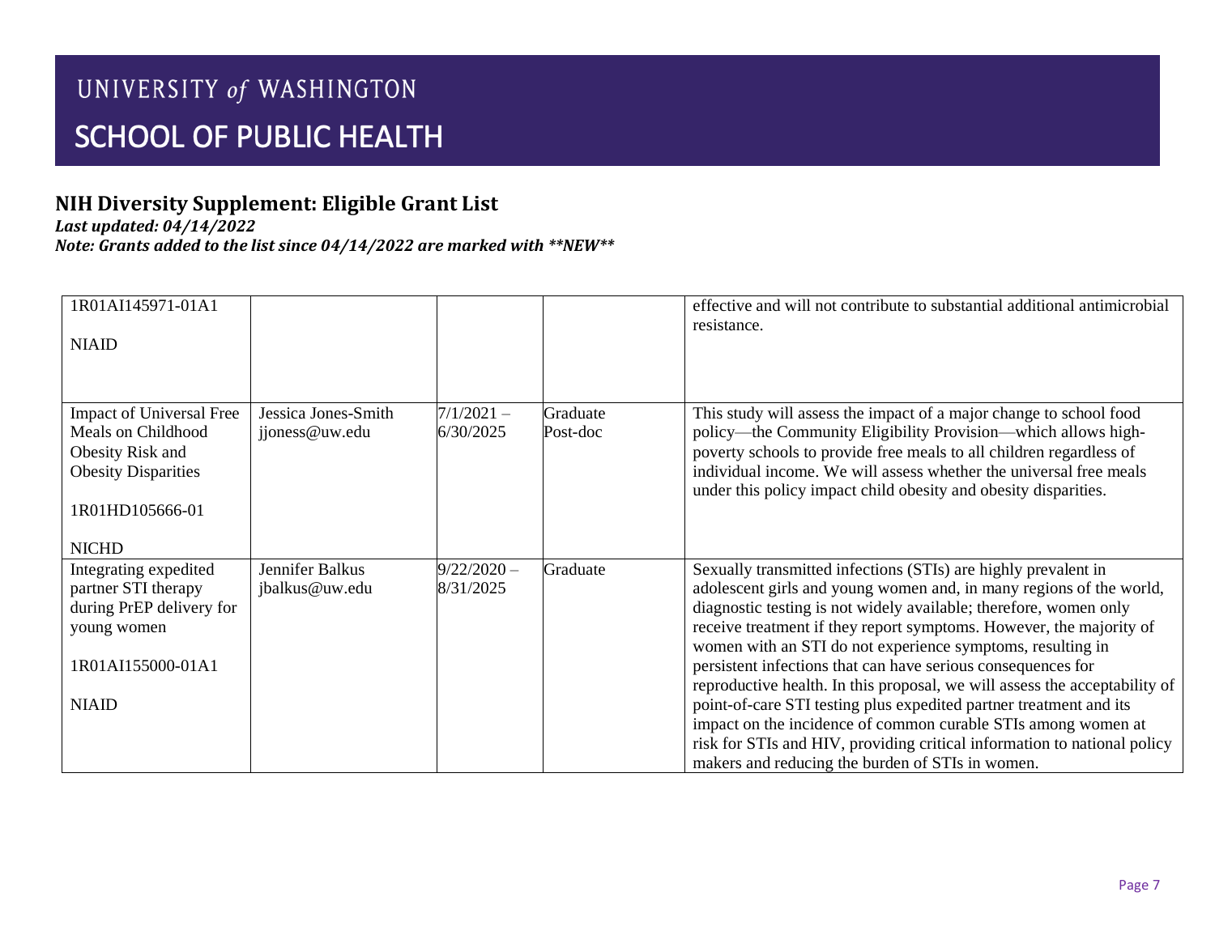## **NIH Diversity Supplement: Eligible Grant List**

*Last updated: 04/14/2022*

| 1R01AI145971-01A1                                                                                                            |                                       |                            |                      | effective and will not contribute to substantial additional antimicrobial                                                                                                                                                                                                                                                                                                                                                                                                                                                                                                                                                                                                                                                                                            |
|------------------------------------------------------------------------------------------------------------------------------|---------------------------------------|----------------------------|----------------------|----------------------------------------------------------------------------------------------------------------------------------------------------------------------------------------------------------------------------------------------------------------------------------------------------------------------------------------------------------------------------------------------------------------------------------------------------------------------------------------------------------------------------------------------------------------------------------------------------------------------------------------------------------------------------------------------------------------------------------------------------------------------|
| <b>NIAID</b>                                                                                                                 |                                       |                            |                      | resistance.                                                                                                                                                                                                                                                                                                                                                                                                                                                                                                                                                                                                                                                                                                                                                          |
|                                                                                                                              |                                       |                            |                      |                                                                                                                                                                                                                                                                                                                                                                                                                                                                                                                                                                                                                                                                                                                                                                      |
| Impact of Universal Free<br>Meals on Childhood<br>Obesity Risk and<br><b>Obesity Disparities</b><br>1R01HD105666-01          | Jessica Jones-Smith<br>jjoness@uw.edu | $7/1/2021 -$<br>6/30/2025  | Graduate<br>Post-doc | This study will assess the impact of a major change to school food<br>policy—the Community Eligibility Provision—which allows high-<br>poverty schools to provide free meals to all children regardless of<br>individual income. We will assess whether the universal free meals<br>under this policy impact child obesity and obesity disparities.                                                                                                                                                                                                                                                                                                                                                                                                                  |
| <b>NICHD</b>                                                                                                                 |                                       |                            |                      |                                                                                                                                                                                                                                                                                                                                                                                                                                                                                                                                                                                                                                                                                                                                                                      |
| Integrating expedited<br>partner STI therapy<br>during PrEP delivery for<br>young women<br>1R01AI155000-01A1<br><b>NIAID</b> | Jennifer Balkus<br>jbalkus@uw.edu     | $9/22/2020 -$<br>8/31/2025 | Graduate             | Sexually transmitted infections (STIs) are highly prevalent in<br>adolescent girls and young women and, in many regions of the world,<br>diagnostic testing is not widely available; therefore, women only<br>receive treatment if they report symptoms. However, the majority of<br>women with an STI do not experience symptoms, resulting in<br>persistent infections that can have serious consequences for<br>reproductive health. In this proposal, we will assess the acceptability of<br>point-of-care STI testing plus expedited partner treatment and its<br>impact on the incidence of common curable STIs among women at<br>risk for STIs and HIV, providing critical information to national policy<br>makers and reducing the burden of STIs in women. |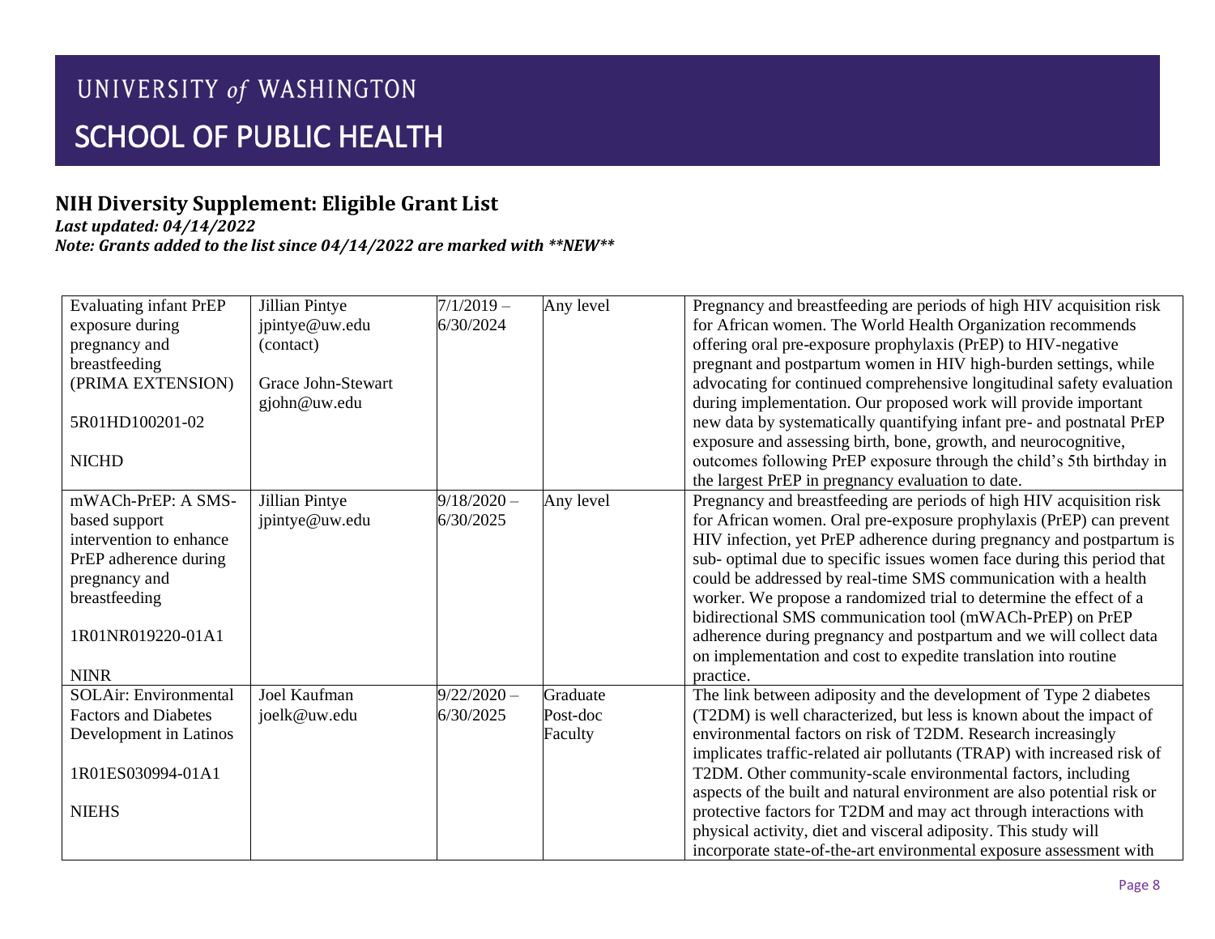## **NIH Diversity Supplement: Eligible Grant List**

*Last updated: 04/14/2022*

| <b>Evaluating infant PrEP</b> | Jillian Pintye     | $7/1/2019 -$  | Any level | Pregnancy and breastfeeding are periods of high HIV acquisition risk    |
|-------------------------------|--------------------|---------------|-----------|-------------------------------------------------------------------------|
| exposure during               | jpintye@uw.edu     | 6/30/2024     |           | for African women. The World Health Organization recommends             |
| pregnancy and                 | (contact)          |               |           | offering oral pre-exposure prophylaxis (PrEP) to HIV-negative           |
| breastfeeding                 |                    |               |           | pregnant and postpartum women in HIV high-burden settings, while        |
| (PRIMA EXTENSION)             | Grace John-Stewart |               |           | advocating for continued comprehensive longitudinal safety evaluation   |
|                               | gjohn@uw.edu       |               |           | during implementation. Our proposed work will provide important         |
| 5R01HD100201-02               |                    |               |           | new data by systematically quantifying infant pre- and postnatal PrEP   |
|                               |                    |               |           | exposure and assessing birth, bone, growth, and neurocognitive,         |
| <b>NICHD</b>                  |                    |               |           | outcomes following PrEP exposure through the child's 5th birthday in    |
|                               |                    |               |           | the largest PrEP in pregnancy evaluation to date.                       |
| mWACh-PrEP: A SMS-            | Jillian Pintye     | $9/18/2020 -$ | Any level | Pregnancy and breastfeeding are periods of high HIV acquisition risk    |
| based support                 | jpintye@uw.edu     | 6/30/2025     |           | for African women. Oral pre-exposure prophylaxis (PrEP) can prevent     |
| intervention to enhance       |                    |               |           | HIV infection, yet PrEP adherence during pregnancy and postpartum is    |
| PrEP adherence during         |                    |               |           | sub- optimal due to specific issues women face during this period that  |
| pregnancy and                 |                    |               |           | could be addressed by real-time SMS communication with a health         |
| breastfeeding                 |                    |               |           | worker. We propose a randomized trial to determine the effect of a      |
|                               |                    |               |           | bidirectional SMS communication tool (mWACh-PrEP) on PrEP               |
| 1R01NR019220-01A1             |                    |               |           | adherence during pregnancy and postpartum and we will collect data      |
|                               |                    |               |           | on implementation and cost to expedite translation into routine         |
| <b>NINR</b>                   |                    |               |           | practice.                                                               |
| <b>SOLAir: Environmental</b>  | Joel Kaufman       | $9/22/2020 -$ | Graduate  | The link between adiposity and the development of Type 2 diabetes       |
| <b>Factors and Diabetes</b>   | joelk@uw.edu       | 6/30/2025     | Post-doc  | (T2DM) is well characterized, but less is known about the impact of     |
| Development in Latinos        |                    |               | Faculty   | environmental factors on risk of T2DM. Research increasingly            |
|                               |                    |               |           | implicates traffic-related air pollutants (TRAP) with increased risk of |
| 1R01ES030994-01A1             |                    |               |           | T2DM. Other community-scale environmental factors, including            |
|                               |                    |               |           | aspects of the built and natural environment are also potential risk or |
| <b>NIEHS</b>                  |                    |               |           | protective factors for T2DM and may act through interactions with       |
|                               |                    |               |           | physical activity, diet and visceral adiposity. This study will         |
|                               |                    |               |           | incorporate state-of-the-art environmental exposure assessment with     |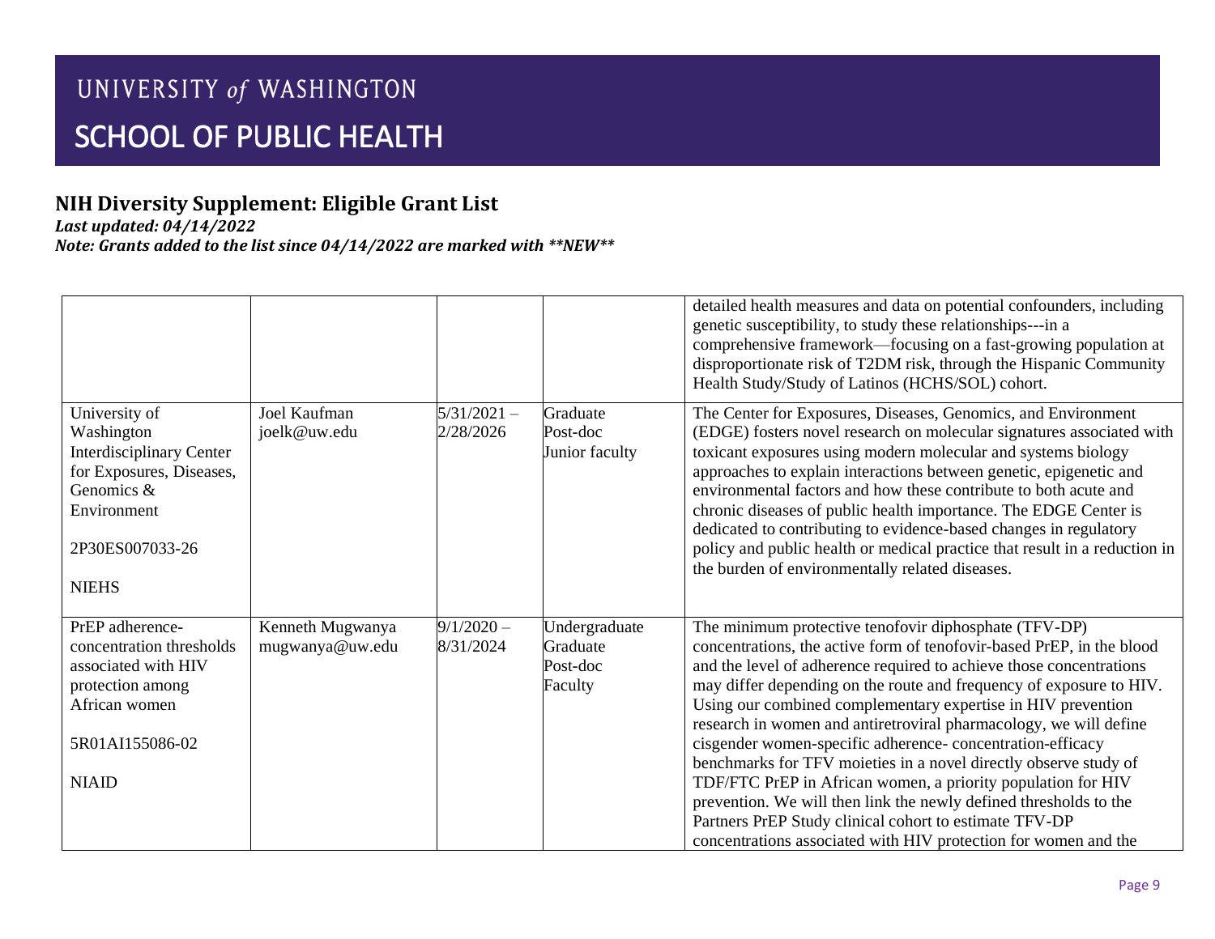## **NIH Diversity Supplement: Eligible Grant List**

*Last updated: 04/14/2022*

|                                                 |                              |                            |                      | detailed health measures and data on potential confounders, including<br>genetic susceptibility, to study these relationships---in a<br>comprehensive framework—focusing on a fast-growing population at<br>disproportionate risk of T2DM risk, through the Hispanic Community<br>Health Study/Study of Latinos (HCHS/SOL) cohort. |
|-------------------------------------------------|------------------------------|----------------------------|----------------------|------------------------------------------------------------------------------------------------------------------------------------------------------------------------------------------------------------------------------------------------------------------------------------------------------------------------------------|
| University of<br>Washington                     | Joel Kaufman<br>joelk@uw.edu | $5/31/2021 -$<br>2/28/2026 | Graduate<br>Post-doc | The Center for Exposures, Diseases, Genomics, and Environment<br>(EDGE) fosters novel research on molecular signatures associated with                                                                                                                                                                                             |
| <b>Interdisciplinary Center</b>                 |                              |                            | Junior faculty       | toxicant exposures using modern molecular and systems biology                                                                                                                                                                                                                                                                      |
| for Exposures, Diseases,<br>Genomics &          |                              |                            |                      | approaches to explain interactions between genetic, epigenetic and<br>environmental factors and how these contribute to both acute and                                                                                                                                                                                             |
| Environment                                     |                              |                            |                      | chronic diseases of public health importance. The EDGE Center is                                                                                                                                                                                                                                                                   |
| 2P30ES007033-26                                 |                              |                            |                      | dedicated to contributing to evidence-based changes in regulatory<br>policy and public health or medical practice that result in a reduction in                                                                                                                                                                                    |
|                                                 |                              |                            |                      | the burden of environmentally related diseases.                                                                                                                                                                                                                                                                                    |
| <b>NIEHS</b>                                    |                              |                            |                      |                                                                                                                                                                                                                                                                                                                                    |
| PrEP adherence-                                 | Kenneth Mugwanya             | $9/1/2020 -$               | Undergraduate        | The minimum protective tenofovir diphosphate (TFV-DP)                                                                                                                                                                                                                                                                              |
| concentration thresholds<br>associated with HIV | mugwanya@uw.edu              | 8/31/2024                  | Graduate<br>Post-doc | concentrations, the active form of tenofovir-based PrEP, in the blood<br>and the level of adherence required to achieve those concentrations                                                                                                                                                                                       |
| protection among                                |                              |                            | Faculty              | may differ depending on the route and frequency of exposure to HIV.                                                                                                                                                                                                                                                                |
| African women                                   |                              |                            |                      | Using our combined complementary expertise in HIV prevention                                                                                                                                                                                                                                                                       |
| 5R01AI155086-02                                 |                              |                            |                      | research in women and antiretroviral pharmacology, we will define<br>cisgender women-specific adherence-concentration-efficacy                                                                                                                                                                                                     |
|                                                 |                              |                            |                      | benchmarks for TFV moieties in a novel directly observe study of                                                                                                                                                                                                                                                                   |
| <b>NIAID</b>                                    |                              |                            |                      | TDF/FTC PrEP in African women, a priority population for HIV<br>prevention. We will then link the newly defined thresholds to the                                                                                                                                                                                                  |
|                                                 |                              |                            |                      | Partners PrEP Study clinical cohort to estimate TFV-DP                                                                                                                                                                                                                                                                             |
|                                                 |                              |                            |                      | concentrations associated with HIV protection for women and the                                                                                                                                                                                                                                                                    |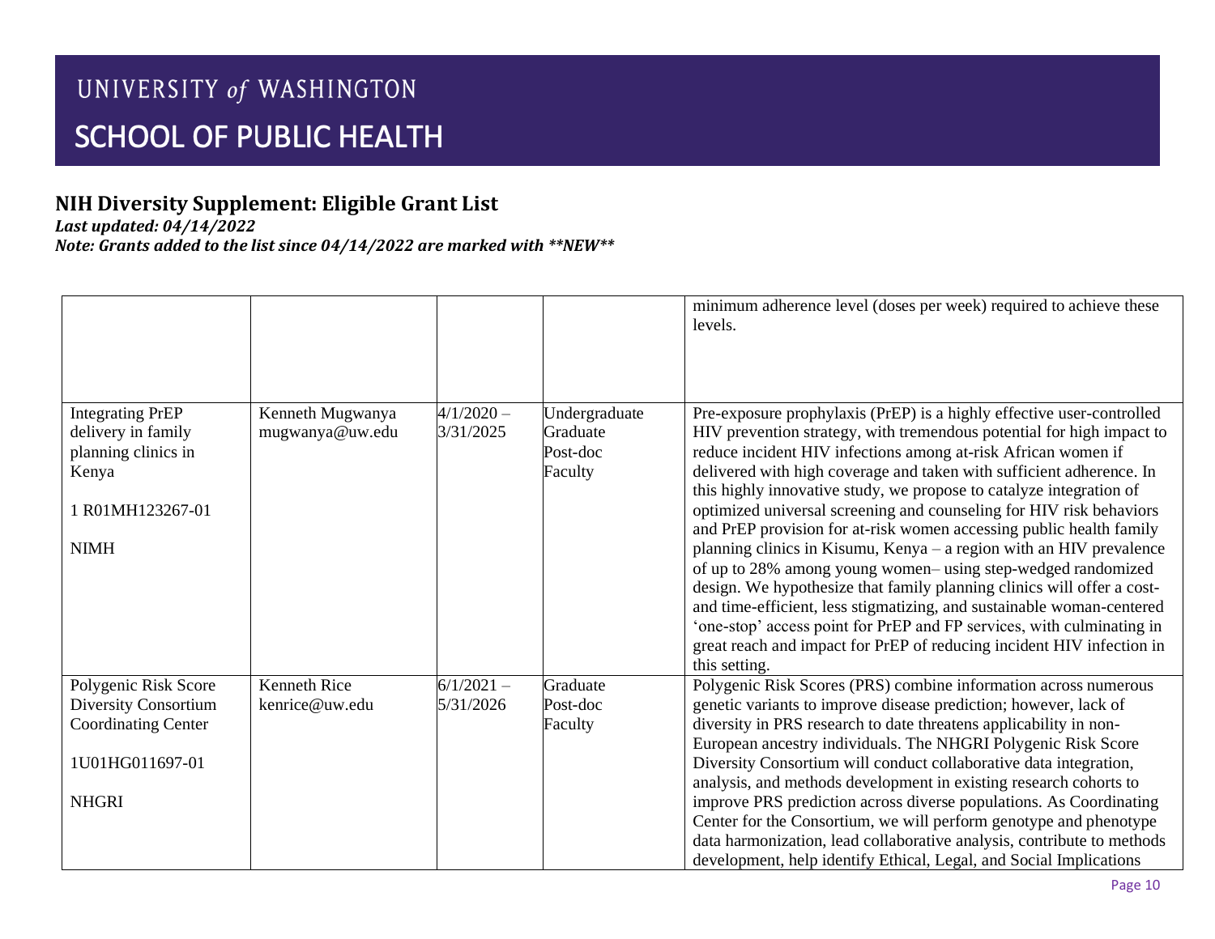## **NIH Diversity Supplement: Eligible Grant List**

*Last updated: 04/14/2022*

|                                                                                                                  |                                     |                           |                                                  | minimum adherence level (doses per week) required to achieve these<br>levels.                                                                                                                                                                                                                                                                                                                                                                                                                                                                                                                                                                                                                                                                                                                                                                                                                                                                                            |
|------------------------------------------------------------------------------------------------------------------|-------------------------------------|---------------------------|--------------------------------------------------|--------------------------------------------------------------------------------------------------------------------------------------------------------------------------------------------------------------------------------------------------------------------------------------------------------------------------------------------------------------------------------------------------------------------------------------------------------------------------------------------------------------------------------------------------------------------------------------------------------------------------------------------------------------------------------------------------------------------------------------------------------------------------------------------------------------------------------------------------------------------------------------------------------------------------------------------------------------------------|
| <b>Integrating PrEP</b><br>delivery in family<br>planning clinics in<br>Kenya<br>1 R01MH123267-01<br><b>NIMH</b> | Kenneth Mugwanya<br>mugwanya@uw.edu | $4/1/2020 -$<br>3/31/2025 | Undergraduate<br>Graduate<br>Post-doc<br>Faculty | Pre-exposure prophylaxis (PrEP) is a highly effective user-controlled<br>HIV prevention strategy, with tremendous potential for high impact to<br>reduce incident HIV infections among at-risk African women if<br>delivered with high coverage and taken with sufficient adherence. In<br>this highly innovative study, we propose to catalyze integration of<br>optimized universal screening and counseling for HIV risk behaviors<br>and PrEP provision for at-risk women accessing public health family<br>planning clinics in Kisumu, Kenya – a region with an HIV prevalence<br>of up to 28% among young women-using step-wedged randomized<br>design. We hypothesize that family planning clinics will offer a cost-<br>and time-efficient, less stigmatizing, and sustainable woman-centered<br>'one-stop' access point for PrEP and FP services, with culminating in<br>great reach and impact for PrEP of reducing incident HIV infection in<br>this setting. |
| Polygenic Risk Score                                                                                             | <b>Kenneth Rice</b>                 | $6/1/2021 -$              | Graduate                                         | Polygenic Risk Scores (PRS) combine information across numerous                                                                                                                                                                                                                                                                                                                                                                                                                                                                                                                                                                                                                                                                                                                                                                                                                                                                                                          |
| Diversity Consortium<br><b>Coordinating Center</b><br>1U01HG011697-01<br><b>NHGRI</b>                            | kenrice@uw.edu                      | 5/31/2026                 | Post-doc<br>Faculty                              | genetic variants to improve disease prediction; however, lack of<br>diversity in PRS research to date threatens applicability in non-<br>European ancestry individuals. The NHGRI Polygenic Risk Score<br>Diversity Consortium will conduct collaborative data integration,<br>analysis, and methods development in existing research cohorts to<br>improve PRS prediction across diverse populations. As Coordinating<br>Center for the Consortium, we will perform genotype and phenotype<br>data harmonization, lead collaborative analysis, contribute to methods<br>development, help identify Ethical, Legal, and Social Implications                                                                                                                                                                                                                                                                                                                              |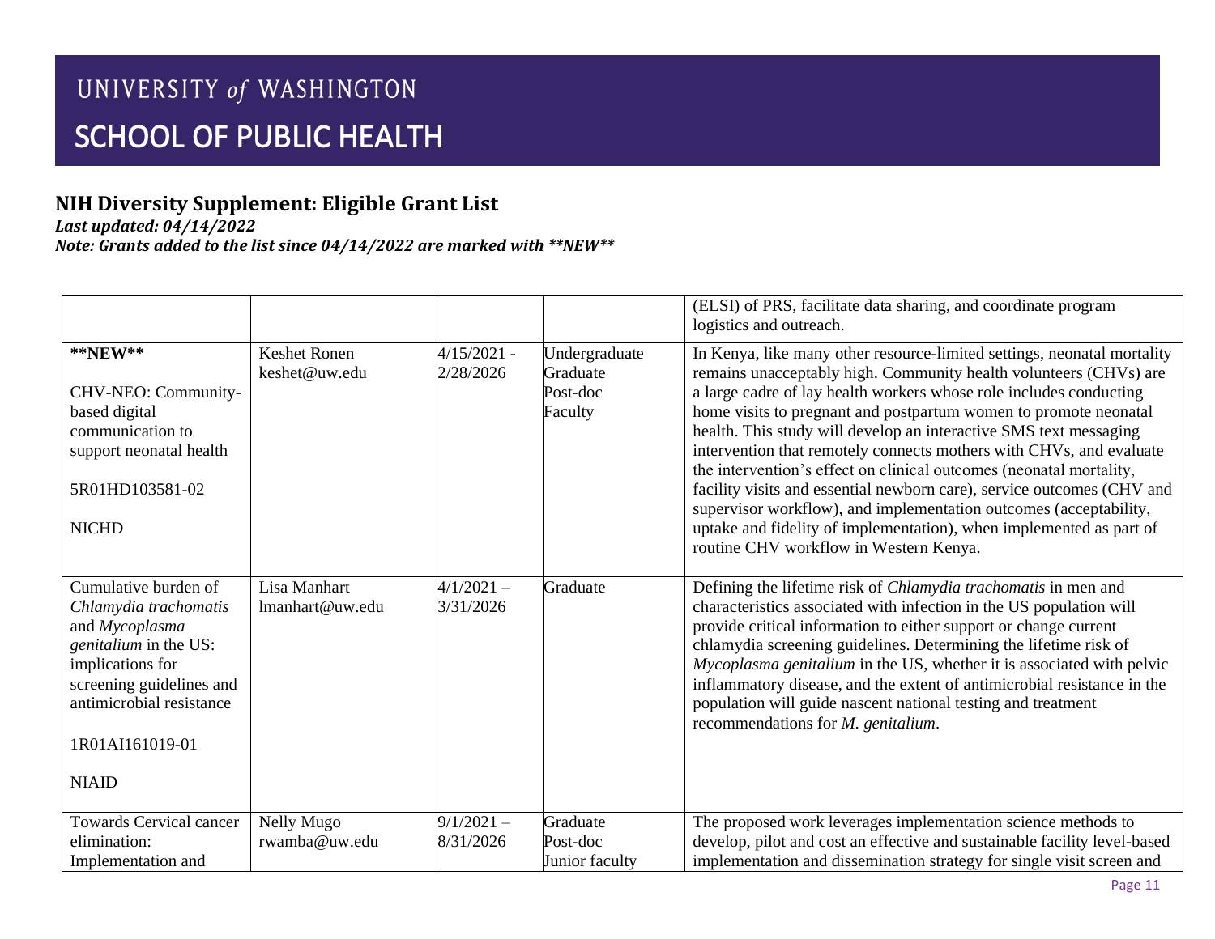## **NIH Diversity Supplement: Eligible Grant List**

*Last updated: 04/14/2022*

|                                                                                                                                                                                                         |                                      |                            |                                                  | (ELSI) of PRS, facilitate data sharing, and coordinate program<br>logistics and outreach.                                                                                                                                                                                                                                                                                                                                                                                                                                                                                                                                                                                                                                                                                 |
|---------------------------------------------------------------------------------------------------------------------------------------------------------------------------------------------------------|--------------------------------------|----------------------------|--------------------------------------------------|---------------------------------------------------------------------------------------------------------------------------------------------------------------------------------------------------------------------------------------------------------------------------------------------------------------------------------------------------------------------------------------------------------------------------------------------------------------------------------------------------------------------------------------------------------------------------------------------------------------------------------------------------------------------------------------------------------------------------------------------------------------------------|
| $*$ $NEW**$<br>CHV-NEO: Community-<br>based digital<br>communication to<br>support neonatal health<br>5R01HD103581-02<br><b>NICHD</b>                                                                   | <b>Keshet Ronen</b><br>keshet@uw.edu | $4/15/2021 -$<br>2/28/2026 | Undergraduate<br>Graduate<br>Post-doc<br>Faculty | In Kenya, like many other resource-limited settings, neonatal mortality<br>remains unacceptably high. Community health volunteers (CHVs) are<br>a large cadre of lay health workers whose role includes conducting<br>home visits to pregnant and postpartum women to promote neonatal<br>health. This study will develop an interactive SMS text messaging<br>intervention that remotely connects mothers with CHVs, and evaluate<br>the intervention's effect on clinical outcomes (neonatal mortality,<br>facility visits and essential newborn care), service outcomes (CHV and<br>supervisor workflow), and implementation outcomes (acceptability,<br>uptake and fidelity of implementation), when implemented as part of<br>routine CHV workflow in Western Kenya. |
| Cumulative burden of<br>Chlamydia trachomatis<br>and Mycoplasma<br>genitalium in the US:<br>implications for<br>screening guidelines and<br>antimicrobial resistance<br>1R01AI161019-01<br><b>NIAID</b> | Lisa Manhart<br>lmanhart@uw.edu      | $4/1/2021 -$<br>3/31/2026  | Graduate                                         | Defining the lifetime risk of Chlamydia trachomatis in men and<br>characteristics associated with infection in the US population will<br>provide critical information to either support or change current<br>chlamydia screening guidelines. Determining the lifetime risk of<br>Mycoplasma genitalium in the US, whether it is associated with pelvic<br>inflammatory disease, and the extent of antimicrobial resistance in the<br>population will guide nascent national testing and treatment<br>recommendations for M. genitalium.                                                                                                                                                                                                                                   |
| <b>Towards Cervical cancer</b><br>elimination:<br>Implementation and                                                                                                                                    | Nelly Mugo<br>rwamba@uw.edu          | $9/1/2021 -$<br>8/31/2026  | Graduate<br>Post-doc<br>Junior faculty           | The proposed work leverages implementation science methods to<br>develop, pilot and cost an effective and sustainable facility level-based<br>implementation and dissemination strategy for single visit screen and                                                                                                                                                                                                                                                                                                                                                                                                                                                                                                                                                       |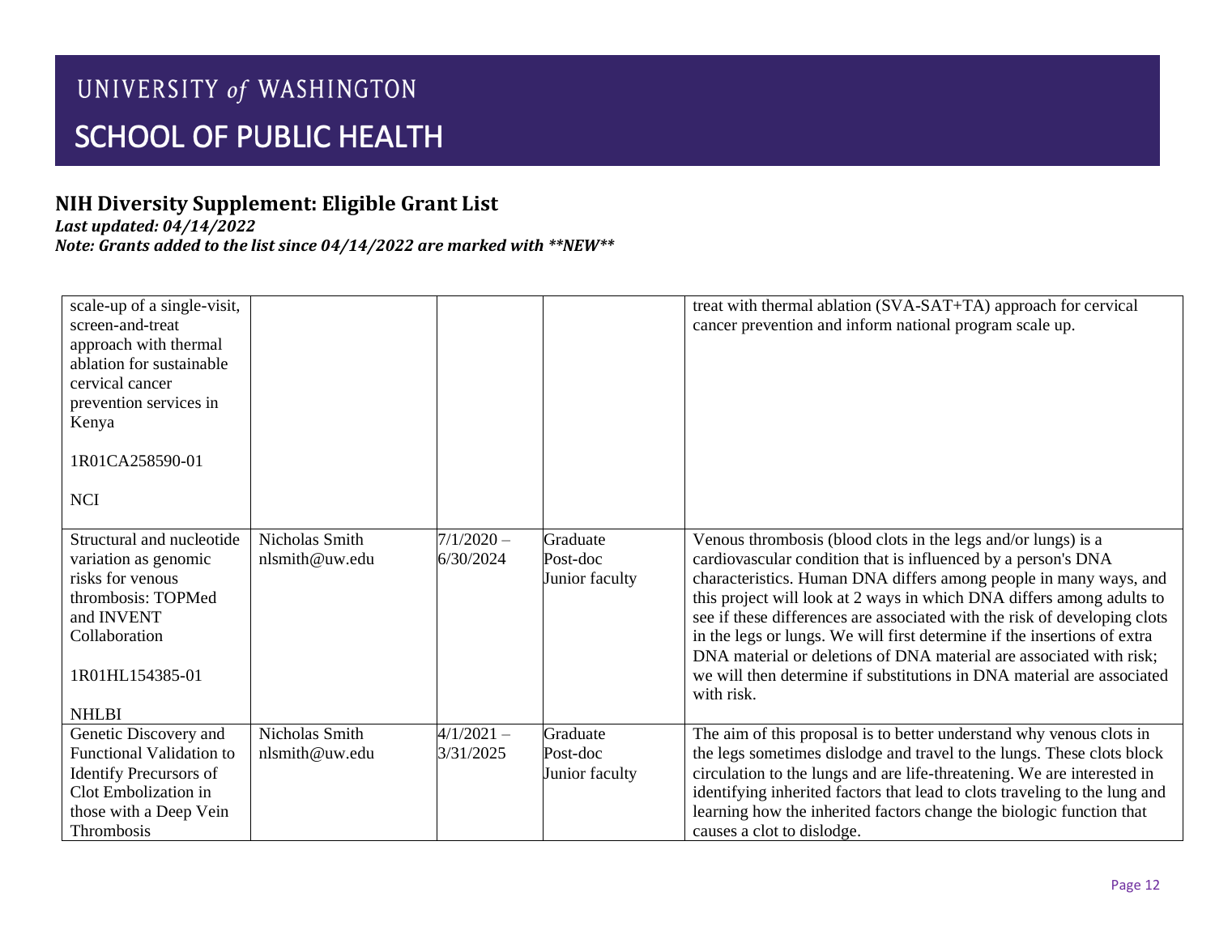## **NIH Diversity Supplement: Eligible Grant List**

*Last updated: 04/14/2022*

| scale-up of a single-visit,<br>screen-and-treat<br>approach with thermal<br>ablation for sustainable<br>cervical cancer<br>prevention services in<br>Kenya    |                                  |                           |                                        | treat with thermal ablation (SVA-SAT+TA) approach for cervical<br>cancer prevention and inform national program scale up.                                                                                                                                                                                                                                                                                                                                                                                                                                                                            |
|---------------------------------------------------------------------------------------------------------------------------------------------------------------|----------------------------------|---------------------------|----------------------------------------|------------------------------------------------------------------------------------------------------------------------------------------------------------------------------------------------------------------------------------------------------------------------------------------------------------------------------------------------------------------------------------------------------------------------------------------------------------------------------------------------------------------------------------------------------------------------------------------------------|
| 1R01CA258590-01                                                                                                                                               |                                  |                           |                                        |                                                                                                                                                                                                                                                                                                                                                                                                                                                                                                                                                                                                      |
| <b>NCI</b>                                                                                                                                                    |                                  |                           |                                        |                                                                                                                                                                                                                                                                                                                                                                                                                                                                                                                                                                                                      |
| Structural and nucleotide<br>variation as genomic<br>risks for venous<br>thrombosis: TOPMed<br>and INVENT<br>Collaboration<br>1R01HL154385-01<br><b>NHLBI</b> | Nicholas Smith<br>nlsmith@uw.edu | $7/1/2020 -$<br>6/30/2024 | Graduate<br>Post-doc<br>Junior faculty | Venous thrombosis (blood clots in the legs and/or lungs) is a<br>cardiovascular condition that is influenced by a person's DNA<br>characteristics. Human DNA differs among people in many ways, and<br>this project will look at 2 ways in which DNA differs among adults to<br>see if these differences are associated with the risk of developing clots<br>in the legs or lungs. We will first determine if the insertions of extra<br>DNA material or deletions of DNA material are associated with risk;<br>we will then determine if substitutions in DNA material are associated<br>with risk. |
| Genetic Discovery and<br>Functional Validation to<br><b>Identify Precursors of</b><br>Clot Embolization in<br>those with a Deep Vein<br>Thrombosis            | Nicholas Smith<br>nlsmith@uw.edu | $4/1/2021 -$<br>3/31/2025 | Graduate<br>Post-doc<br>Junior faculty | The aim of this proposal is to better understand why venous clots in<br>the legs sometimes dislodge and travel to the lungs. These clots block<br>circulation to the lungs and are life-threatening. We are interested in<br>identifying inherited factors that lead to clots traveling to the lung and<br>learning how the inherited factors change the biologic function that<br>causes a clot to dislodge.                                                                                                                                                                                        |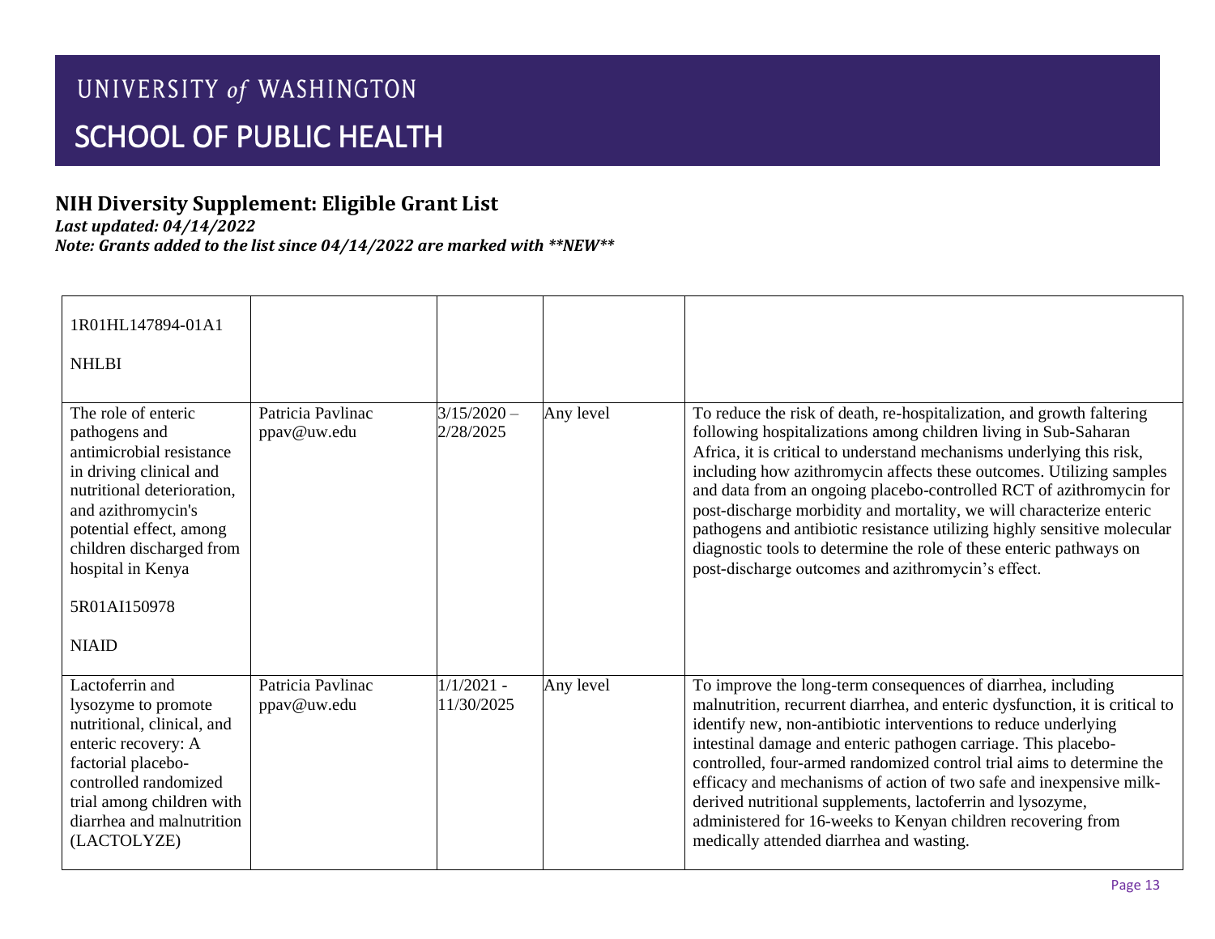## **NIH Diversity Supplement: Eligible Grant List**

*Last updated: 04/14/2022*

| 1R01HL147894-01A1<br><b>NHLBI</b>                                                                                                                                                                                                                           |                                  |                            |           |                                                                                                                                                                                                                                                                                                                                                                                                                                                                                                                                                                                                                                                   |
|-------------------------------------------------------------------------------------------------------------------------------------------------------------------------------------------------------------------------------------------------------------|----------------------------------|----------------------------|-----------|---------------------------------------------------------------------------------------------------------------------------------------------------------------------------------------------------------------------------------------------------------------------------------------------------------------------------------------------------------------------------------------------------------------------------------------------------------------------------------------------------------------------------------------------------------------------------------------------------------------------------------------------------|
| The role of enteric<br>pathogens and<br>antimicrobial resistance<br>in driving clinical and<br>nutritional deterioration,<br>and azithromycin's<br>potential effect, among<br>children discharged from<br>hospital in Kenya<br>5R01AI150978<br><b>NIAID</b> | Patricia Pavlinac<br>ppav@uw.edu | $3/15/2020 -$<br>2/28/2025 | Any level | To reduce the risk of death, re-hospitalization, and growth faltering<br>following hospitalizations among children living in Sub-Saharan<br>Africa, it is critical to understand mechanisms underlying this risk,<br>including how azithromycin affects these outcomes. Utilizing samples<br>and data from an ongoing placebo-controlled RCT of azithromycin for<br>post-discharge morbidity and mortality, we will characterize enteric<br>pathogens and antibiotic resistance utilizing highly sensitive molecular<br>diagnostic tools to determine the role of these enteric pathways on<br>post-discharge outcomes and azithromycin's effect. |
| Lactoferrin and<br>lysozyme to promote<br>nutritional, clinical, and<br>enteric recovery: A<br>factorial placebo-<br>controlled randomized<br>trial among children with<br>diarrhea and malnutrition<br>(LACTOLYZE)                                         | Patricia Pavlinac<br>ppav@uw.edu | $1/1/2021$ -<br>11/30/2025 | Any level | To improve the long-term consequences of diarrhea, including<br>malnutrition, recurrent diarrhea, and enteric dysfunction, it is critical to<br>identify new, non-antibiotic interventions to reduce underlying<br>intestinal damage and enteric pathogen carriage. This placebo-<br>controlled, four-armed randomized control trial aims to determine the<br>efficacy and mechanisms of action of two safe and inexpensive milk-<br>derived nutritional supplements, lactoferrin and lysozyme,<br>administered for 16-weeks to Kenyan children recovering from<br>medically attended diarrhea and wasting.                                       |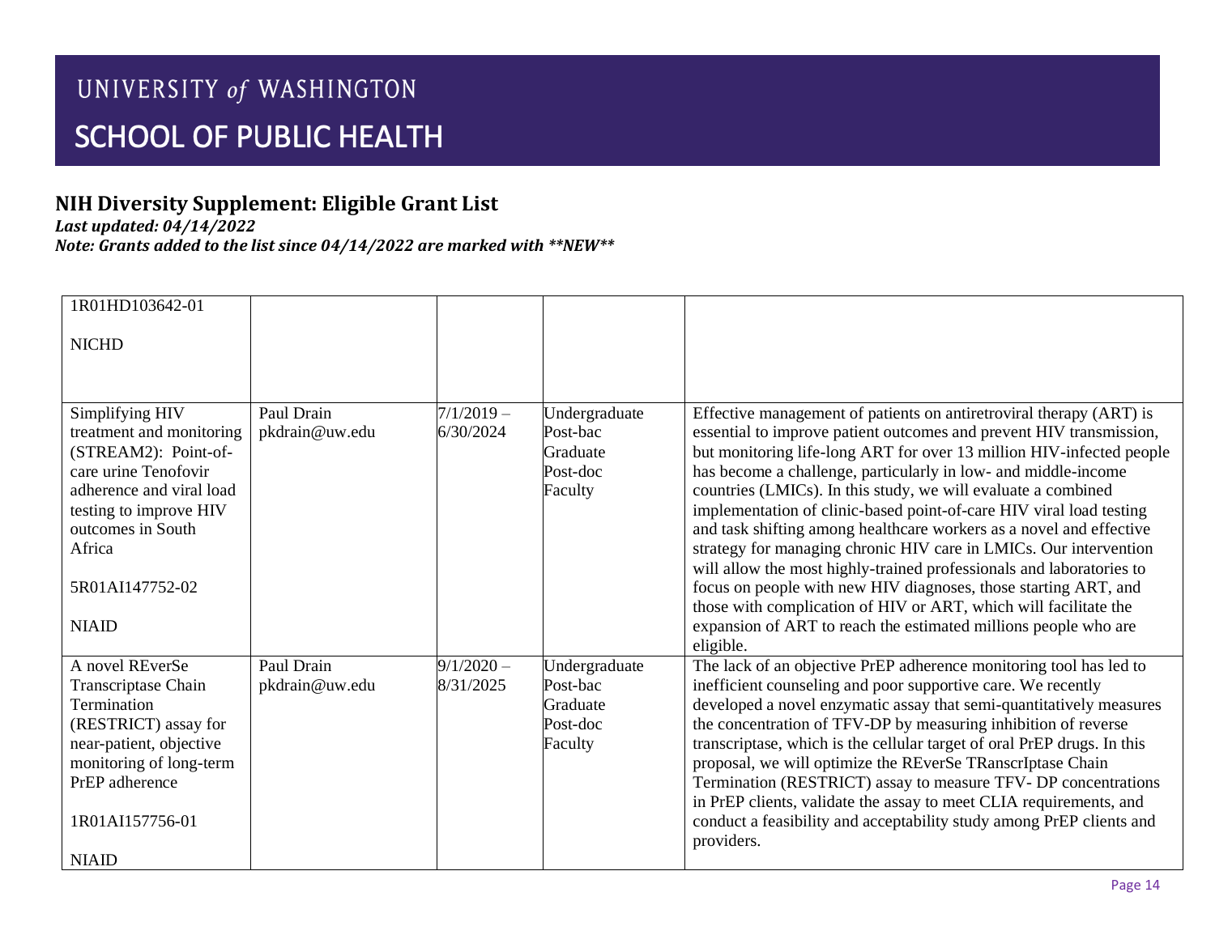## **NIH Diversity Supplement: Eligible Grant List**

*Last updated: 04/14/2022*

| 1R01HD103642-01                                                                                                                                                                                                     |                              |                           |                                                              |                                                                                                                                                                                                                                                                                                                                                                                                                                                                                                                                                                                                                                                                                                                                                                                                                                                            |
|---------------------------------------------------------------------------------------------------------------------------------------------------------------------------------------------------------------------|------------------------------|---------------------------|--------------------------------------------------------------|------------------------------------------------------------------------------------------------------------------------------------------------------------------------------------------------------------------------------------------------------------------------------------------------------------------------------------------------------------------------------------------------------------------------------------------------------------------------------------------------------------------------------------------------------------------------------------------------------------------------------------------------------------------------------------------------------------------------------------------------------------------------------------------------------------------------------------------------------------|
| <b>NICHD</b>                                                                                                                                                                                                        |                              |                           |                                                              |                                                                                                                                                                                                                                                                                                                                                                                                                                                                                                                                                                                                                                                                                                                                                                                                                                                            |
| Simplifying HIV<br>treatment and monitoring<br>(STREAM2): Point-of-<br>care urine Tenofovir<br>adherence and viral load<br>testing to improve HIV<br>outcomes in South<br>Africa<br>5R01AI147752-02<br><b>NIAID</b> | Paul Drain<br>pkdrain@uw.edu | $7/1/2019 -$<br>6/30/2024 | Undergraduate<br>Post-bac<br>Graduate<br>Post-doc<br>Faculty | Effective management of patients on antiretroviral therapy (ART) is<br>essential to improve patient outcomes and prevent HIV transmission,<br>but monitoring life-long ART for over 13 million HIV-infected people<br>has become a challenge, particularly in low- and middle-income<br>countries (LMICs). In this study, we will evaluate a combined<br>implementation of clinic-based point-of-care HIV viral load testing<br>and task shifting among healthcare workers as a novel and effective<br>strategy for managing chronic HIV care in LMICs. Our intervention<br>will allow the most highly-trained professionals and laboratories to<br>focus on people with new HIV diagnoses, those starting ART, and<br>those with complication of HIV or ART, which will facilitate the<br>expansion of ART to reach the estimated millions people who are |
|                                                                                                                                                                                                                     |                              |                           |                                                              | eligible.                                                                                                                                                                                                                                                                                                                                                                                                                                                                                                                                                                                                                                                                                                                                                                                                                                                  |
| A novel REverSe<br><b>Transcriptase Chain</b><br>Termination<br>(RESTRICT) assay for<br>near-patient, objective<br>monitoring of long-term<br>PrEP adherence<br>1R01AI157756-01<br><b>NIAID</b>                     | Paul Drain<br>pkdrain@uw.edu | $9/1/2020 -$<br>8/31/2025 | Undergraduate<br>Post-bac<br>Graduate<br>Post-doc<br>Faculty | The lack of an objective PrEP adherence monitoring tool has led to<br>inefficient counseling and poor supportive care. We recently<br>developed a novel enzymatic assay that semi-quantitatively measures<br>the concentration of TFV-DP by measuring inhibition of reverse<br>transcriptase, which is the cellular target of oral PrEP drugs. In this<br>proposal, we will optimize the REverSe TRanscrIptase Chain<br>Termination (RESTRICT) assay to measure TFV- DP concentrations<br>in PrEP clients, validate the assay to meet CLIA requirements, and<br>conduct a feasibility and acceptability study among PrEP clients and<br>providers.                                                                                                                                                                                                         |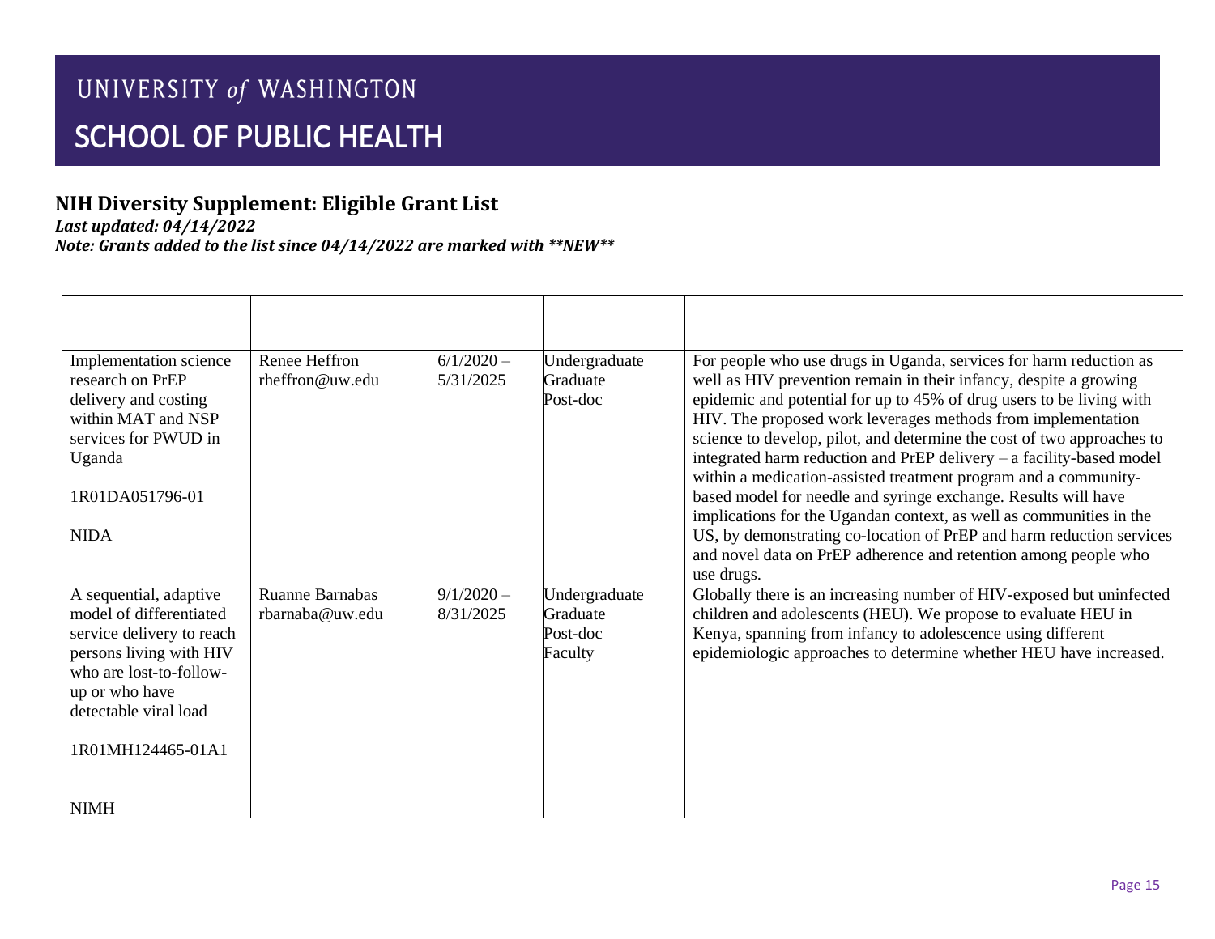## **NIH Diversity Supplement: Eligible Grant List**

*Last updated: 04/14/2022*

| Implementation science<br>research on PrEP<br>delivery and costing<br>within MAT and NSP<br>services for PWUD in<br>Uganda<br>1R01DA051796-01<br><b>NIDA</b>                                         | Renee Heffron<br>rheffron@uw.edu   | $6/1/2020 -$<br>5/31/2025 | Undergraduate<br>Graduate<br>Post-doc            | For people who use drugs in Uganda, services for harm reduction as<br>well as HIV prevention remain in their infancy, despite a growing<br>epidemic and potential for up to 45% of drug users to be living with<br>HIV. The proposed work leverages methods from implementation<br>science to develop, pilot, and determine the cost of two approaches to<br>integrated harm reduction and PrEP delivery - a facility-based model<br>within a medication-assisted treatment program and a community-<br>based model for needle and syringe exchange. Results will have<br>implications for the Ugandan context, as well as communities in the<br>US, by demonstrating co-location of PrEP and harm reduction services<br>and novel data on PrEP adherence and retention among people who<br>use drugs. |
|------------------------------------------------------------------------------------------------------------------------------------------------------------------------------------------------------|------------------------------------|---------------------------|--------------------------------------------------|--------------------------------------------------------------------------------------------------------------------------------------------------------------------------------------------------------------------------------------------------------------------------------------------------------------------------------------------------------------------------------------------------------------------------------------------------------------------------------------------------------------------------------------------------------------------------------------------------------------------------------------------------------------------------------------------------------------------------------------------------------------------------------------------------------|
| A sequential, adaptive<br>model of differentiated<br>service delivery to reach<br>persons living with HIV<br>who are lost-to-follow-<br>up or who have<br>detectable viral load<br>1R01MH124465-01A1 | Ruanne Barnabas<br>rbarnaba@uw.edu | $9/1/2020 -$<br>8/31/2025 | Undergraduate<br>Graduate<br>Post-doc<br>Faculty | Globally there is an increasing number of HIV-exposed but uninfected<br>children and adolescents (HEU). We propose to evaluate HEU in<br>Kenya, spanning from infancy to adolescence using different<br>epidemiologic approaches to determine whether HEU have increased.                                                                                                                                                                                                                                                                                                                                                                                                                                                                                                                              |
| <b>NIMH</b>                                                                                                                                                                                          |                                    |                           |                                                  |                                                                                                                                                                                                                                                                                                                                                                                                                                                                                                                                                                                                                                                                                                                                                                                                        |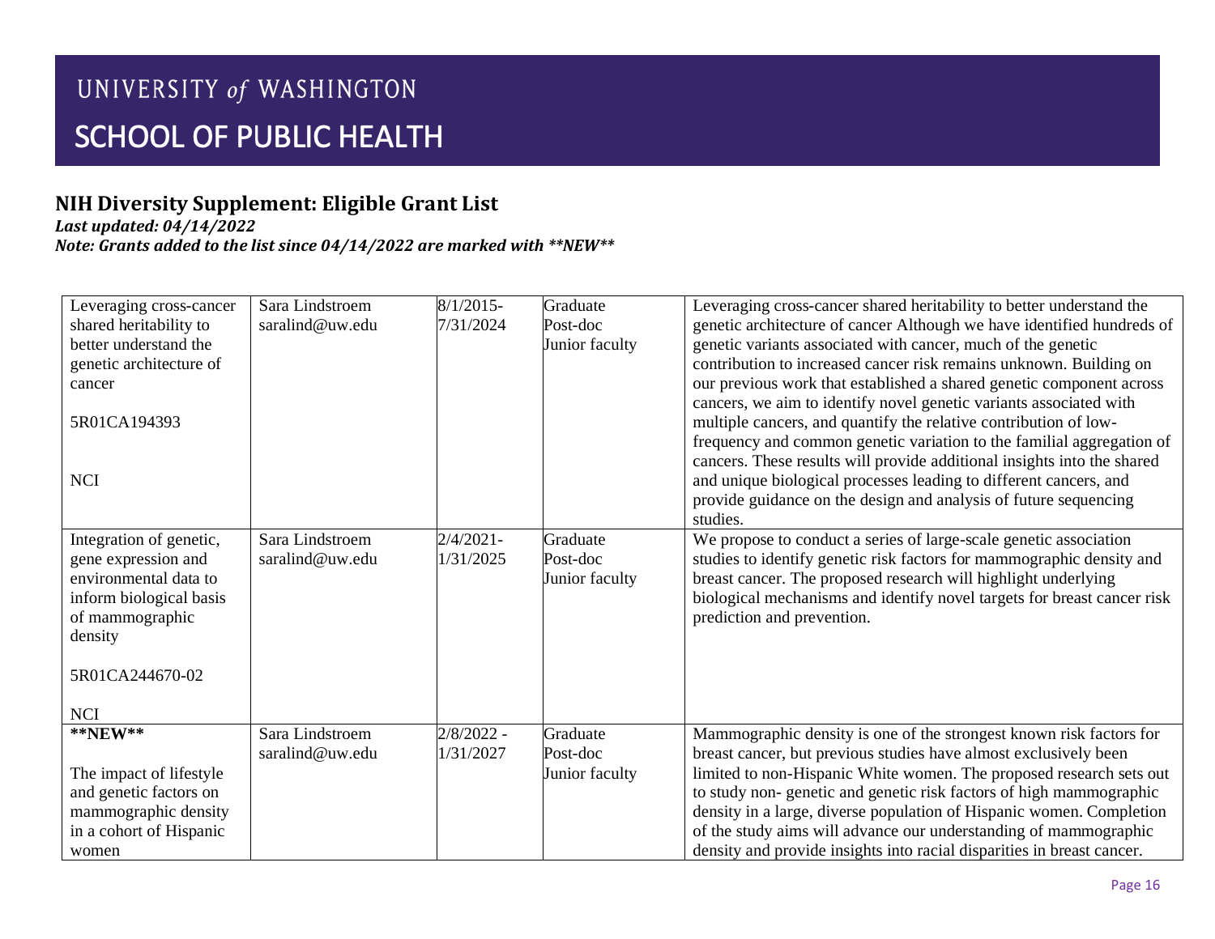#### **NIH Diversity Supplement: Eligible Grant List**

*Last updated: 04/14/2022*

| Leveraging cross-cancer  | Sara Lindstroem | $8/1/2015$ - | Graduate       | Leveraging cross-cancer shared heritability to better understand the    |
|--------------------------|-----------------|--------------|----------------|-------------------------------------------------------------------------|
| shared heritability to   | saralind@uw.edu | 7/31/2024    | Post-doc       | genetic architecture of cancer Although we have identified hundreds of  |
| better understand the    |                 |              | Junior faculty | genetic variants associated with cancer, much of the genetic            |
| genetic architecture of  |                 |              |                | contribution to increased cancer risk remains unknown. Building on      |
| cancer                   |                 |              |                | our previous work that established a shared genetic component across    |
|                          |                 |              |                | cancers, we aim to identify novel genetic variants associated with      |
| 5R01CA194393             |                 |              |                | multiple cancers, and quantify the relative contribution of low-        |
|                          |                 |              |                | frequency and common genetic variation to the familial aggregation of   |
|                          |                 |              |                | cancers. These results will provide additional insights into the shared |
| <b>NCI</b>               |                 |              |                | and unique biological processes leading to different cancers, and       |
|                          |                 |              |                | provide guidance on the design and analysis of future sequencing        |
|                          |                 |              |                | studies.                                                                |
| Integration of genetic,  | Sara Lindstroem | $2/4/2021 -$ | Graduate       | We propose to conduct a series of large-scale genetic association       |
| gene expression and      | saralind@uw.edu | 1/31/2025    | Post-doc       | studies to identify genetic risk factors for mammographic density and   |
| environmental data to    |                 |              | Junior faculty | breast cancer. The proposed research will highlight underlying          |
| inform biological basis  |                 |              |                | biological mechanisms and identify novel targets for breast cancer risk |
| of mammographic          |                 |              |                | prediction and prevention.                                              |
| density                  |                 |              |                |                                                                         |
|                          |                 |              |                |                                                                         |
| 5R01CA244670-02          |                 |              |                |                                                                         |
|                          |                 |              |                |                                                                         |
| <b>NCI</b>               |                 |              |                |                                                                         |
| $\bf$<br><br><br>**NEW** | Sara Lindstroem | $2/8/2022 -$ | Graduate       | Mammographic density is one of the strongest known risk factors for     |
|                          | saralind@uw.edu | 1/31/2027    | Post-doc       | breast cancer, but previous studies have almost exclusively been        |
| The impact of lifestyle  |                 |              | Junior faculty | limited to non-Hispanic White women. The proposed research sets out     |
| and genetic factors on   |                 |              |                | to study non-genetic and genetic risk factors of high mammographic      |
| mammographic density     |                 |              |                | density in a large, diverse population of Hispanic women. Completion    |
| in a cohort of Hispanic  |                 |              |                | of the study aims will advance our understanding of mammographic        |
| women                    |                 |              |                | density and provide insights into racial disparities in breast cancer.  |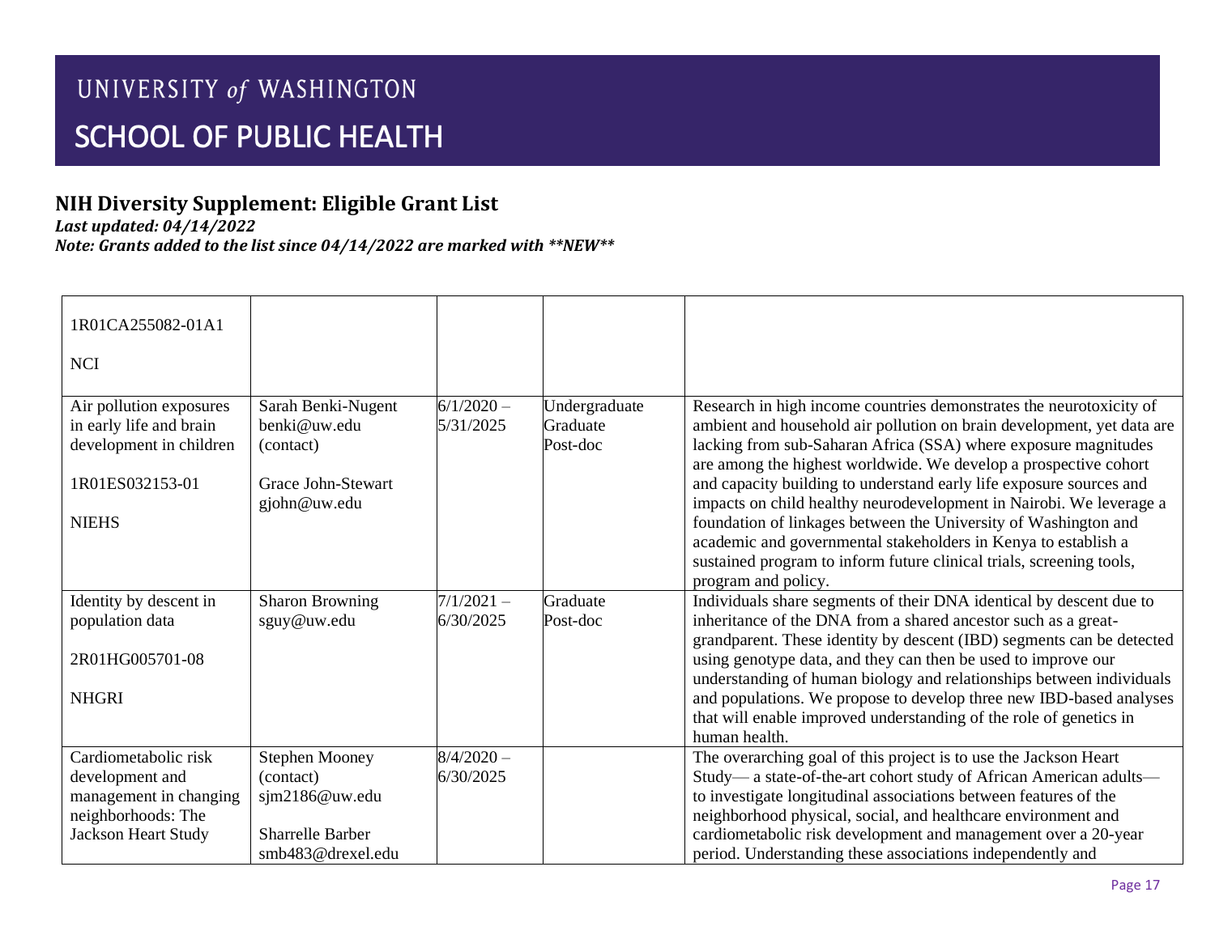## **NIH Diversity Supplement: Eligible Grant List**

*Last updated: 04/14/2022*

| 1R01CA255082-01A1<br><b>NCI</b>                                                                                       |                                                                                                      |                           |                                       |                                                                                                                                                                                                                                                                                                                                                                                                                                    |
|-----------------------------------------------------------------------------------------------------------------------|------------------------------------------------------------------------------------------------------|---------------------------|---------------------------------------|------------------------------------------------------------------------------------------------------------------------------------------------------------------------------------------------------------------------------------------------------------------------------------------------------------------------------------------------------------------------------------------------------------------------------------|
| Air pollution exposures<br>in early life and brain<br>development in children<br>1R01ES032153-01<br><b>NIEHS</b>      | Sarah Benki-Nugent<br>benki@uw.edu<br>(contact)<br><b>Grace John-Stewart</b><br>gjohn@uw.edu         | $6/1/2020 -$<br>5/31/2025 | Undergraduate<br>Graduate<br>Post-doc | Research in high income countries demonstrates the neurotoxicity of<br>ambient and household air pollution on brain development, yet data are<br>lacking from sub-Saharan Africa (SSA) where exposure magnitudes<br>are among the highest worldwide. We develop a prospective cohort<br>and capacity building to understand early life exposure sources and<br>impacts on child healthy neurodevelopment in Nairobi. We leverage a |
|                                                                                                                       |                                                                                                      |                           |                                       | foundation of linkages between the University of Washington and<br>academic and governmental stakeholders in Kenya to establish a<br>sustained program to inform future clinical trials, screening tools,<br>program and policy.                                                                                                                                                                                                   |
| Identity by descent in<br>population data<br>2R01HG005701-08                                                          | <b>Sharon Browning</b><br>sguy@uw.edu                                                                | $7/1/2021 -$<br>6/30/2025 | Graduate<br>Post-doc                  | Individuals share segments of their DNA identical by descent due to<br>inheritance of the DNA from a shared ancestor such as a great-<br>grandparent. These identity by descent (IBD) segments can be detected<br>using genotype data, and they can then be used to improve our                                                                                                                                                    |
| <b>NHGRI</b>                                                                                                          |                                                                                                      |                           |                                       | understanding of human biology and relationships between individuals<br>and populations. We propose to develop three new IBD-based analyses<br>that will enable improved understanding of the role of genetics in<br>human health.                                                                                                                                                                                                 |
| Cardiometabolic risk<br>development and<br>management in changing<br>neighborhoods: The<br><b>Jackson Heart Study</b> | <b>Stephen Mooney</b><br>(contact)<br>sjm2186@uw.edu<br><b>Sharrelle Barber</b><br>smb483@drexel.edu | $8/4/2020 -$<br>6/30/2025 |                                       | The overarching goal of this project is to use the Jackson Heart<br>Study—a state-of-the-art cohort study of African American adults—<br>to investigate longitudinal associations between features of the<br>neighborhood physical, social, and healthcare environment and<br>cardiometabolic risk development and management over a 20-year<br>period. Understanding these associations independently and                         |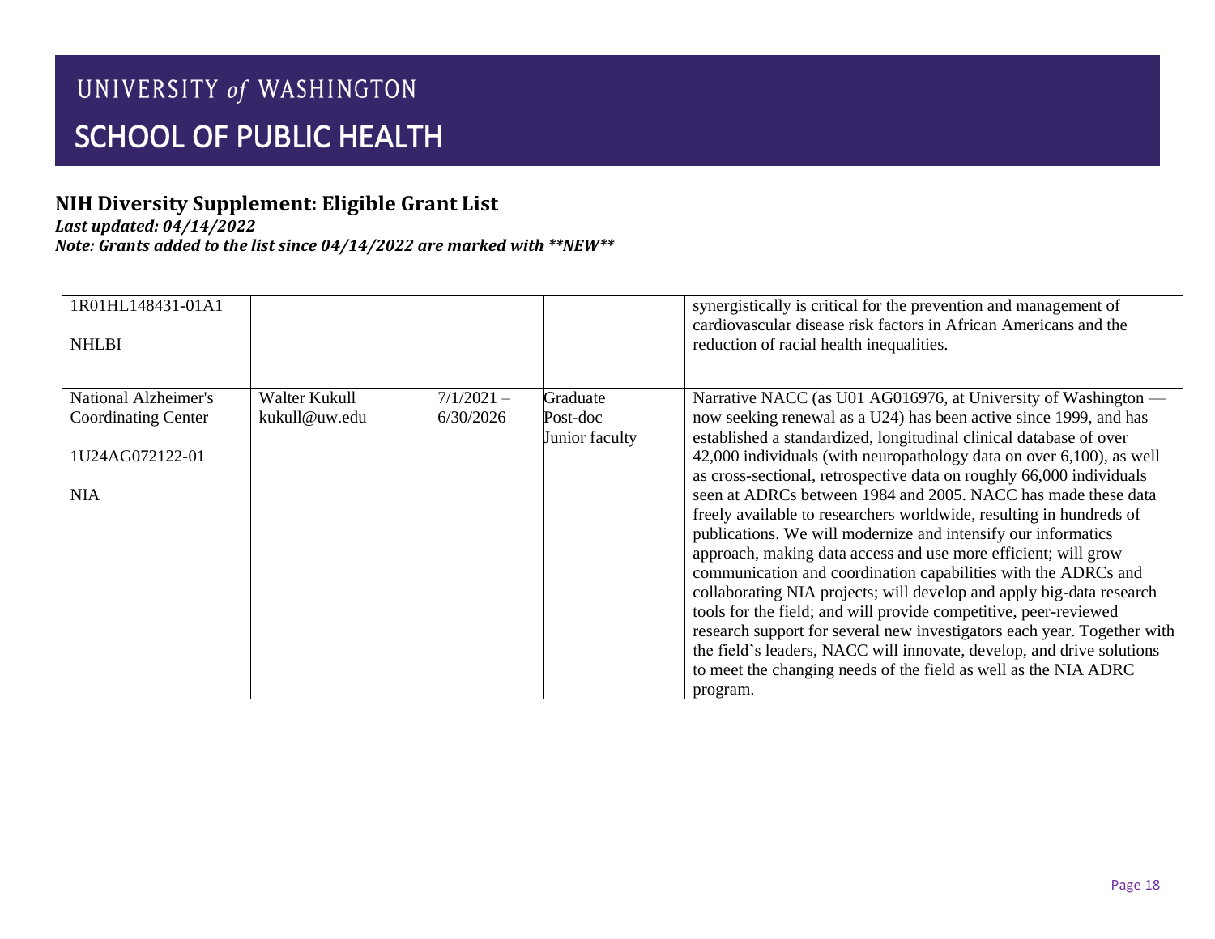## **NIH Diversity Supplement: Eligible Grant List**

*Last updated: 04/14/2022*

| 1R01HL148431-01A1<br><b>NHLBI</b> |               |              |                | synergistically is critical for the prevention and management of<br>cardiovascular disease risk factors in African Americans and the<br>reduction of racial health inequalities. |
|-----------------------------------|---------------|--------------|----------------|----------------------------------------------------------------------------------------------------------------------------------------------------------------------------------|
| National Alzheimer's              | Walter Kukull | $7/1/2021 -$ | Graduate       | Narrative NACC (as U01 AG016976, at University of Washington —                                                                                                                   |
| <b>Coordinating Center</b>        | kukull@uw.edu | 6/30/2026    | Post-doc       | now seeking renewal as a U24) has been active since 1999, and has                                                                                                                |
|                                   |               |              | Junior faculty | established a standardized, longitudinal clinical database of over                                                                                                               |
| 1U24AG072122-01                   |               |              |                | 42,000 individuals (with neuropathology data on over 6,100), as well                                                                                                             |
|                                   |               |              |                | as cross-sectional, retrospective data on roughly 66,000 individuals                                                                                                             |
| <b>NIA</b>                        |               |              |                | seen at ADRCs between 1984 and 2005. NACC has made these data                                                                                                                    |
|                                   |               |              |                | freely available to researchers worldwide, resulting in hundreds of<br>publications. We will modernize and intensify our informatics                                             |
|                                   |               |              |                | approach, making data access and use more efficient; will grow                                                                                                                   |
|                                   |               |              |                | communication and coordination capabilities with the ADRCs and                                                                                                                   |
|                                   |               |              |                | collaborating NIA projects; will develop and apply big-data research                                                                                                             |
|                                   |               |              |                | tools for the field; and will provide competitive, peer-reviewed                                                                                                                 |
|                                   |               |              |                | research support for several new investigators each year. Together with                                                                                                          |
|                                   |               |              |                | the field's leaders, NACC will innovate, develop, and drive solutions                                                                                                            |
|                                   |               |              |                | to meet the changing needs of the field as well as the NIA ADRC                                                                                                                  |
|                                   |               |              |                | program.                                                                                                                                                                         |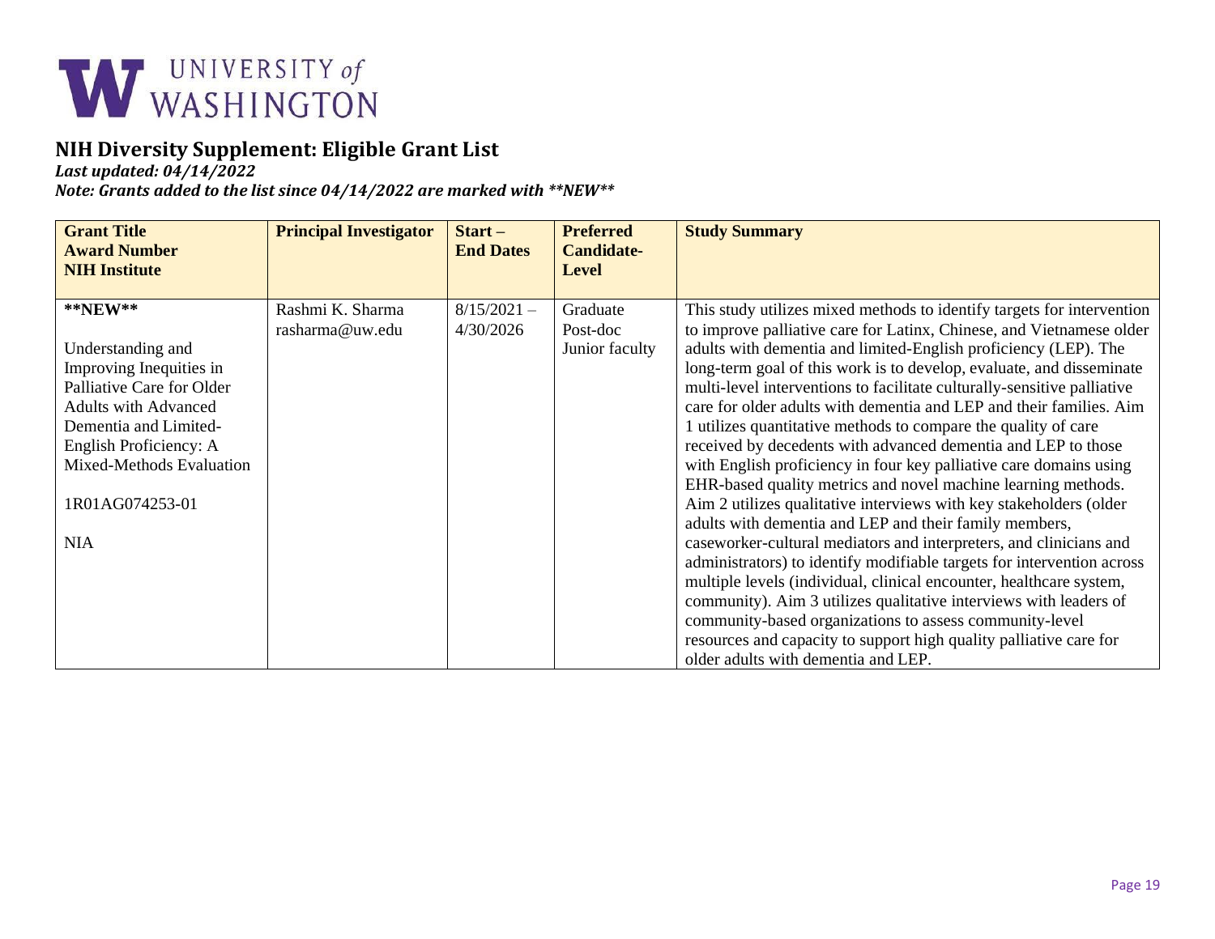

*Last updated: 04/14/2022*

| <b>Grant Title</b><br><b>Award Number</b><br><b>NIH Institute</b> | <b>Principal Investigator</b> | $Start -$<br><b>End Dates</b> | <b>Preferred</b><br><b>Candidate-</b><br><b>Level</b> | <b>Study Summary</b>                                                    |
|-------------------------------------------------------------------|-------------------------------|-------------------------------|-------------------------------------------------------|-------------------------------------------------------------------------|
| $*$ <b>NEW</b> **                                                 | Rashmi K. Sharma              | $8/15/2021 -$                 | Graduate                                              | This study utilizes mixed methods to identify targets for intervention  |
|                                                                   | rasharma@uw.edu               | 4/30/2026                     | Post-doc                                              | to improve palliative care for Latinx, Chinese, and Vietnamese older    |
| Understanding and                                                 |                               |                               | Junior faculty                                        | adults with dementia and limited-English proficiency (LEP). The         |
| Improving Inequities in                                           |                               |                               |                                                       | long-term goal of this work is to develop, evaluate, and disseminate    |
| Palliative Care for Older                                         |                               |                               |                                                       | multi-level interventions to facilitate culturally-sensitive palliative |
| <b>Adults with Advanced</b>                                       |                               |                               |                                                       | care for older adults with dementia and LEP and their families. Aim     |
| Dementia and Limited-                                             |                               |                               |                                                       | 1 utilizes quantitative methods to compare the quality of care          |
| English Proficiency: A                                            |                               |                               |                                                       | received by decedents with advanced dementia and LEP to those           |
| Mixed-Methods Evaluation                                          |                               |                               |                                                       | with English proficiency in four key palliative care domains using      |
|                                                                   |                               |                               |                                                       | EHR-based quality metrics and novel machine learning methods.           |
| 1R01AG074253-01                                                   |                               |                               |                                                       | Aim 2 utilizes qualitative interviews with key stakeholders (older      |
|                                                                   |                               |                               |                                                       | adults with dementia and LEP and their family members,                  |
| <b>NIA</b>                                                        |                               |                               |                                                       | caseworker-cultural mediators and interpreters, and clinicians and      |
|                                                                   |                               |                               |                                                       | administrators) to identify modifiable targets for intervention across  |
|                                                                   |                               |                               |                                                       | multiple levels (individual, clinical encounter, healthcare system,     |
|                                                                   |                               |                               |                                                       | community). Aim 3 utilizes qualitative interviews with leaders of       |
|                                                                   |                               |                               |                                                       | community-based organizations to assess community-level                 |
|                                                                   |                               |                               |                                                       | resources and capacity to support high quality palliative care for      |
|                                                                   |                               |                               |                                                       | older adults with dementia and LEP.                                     |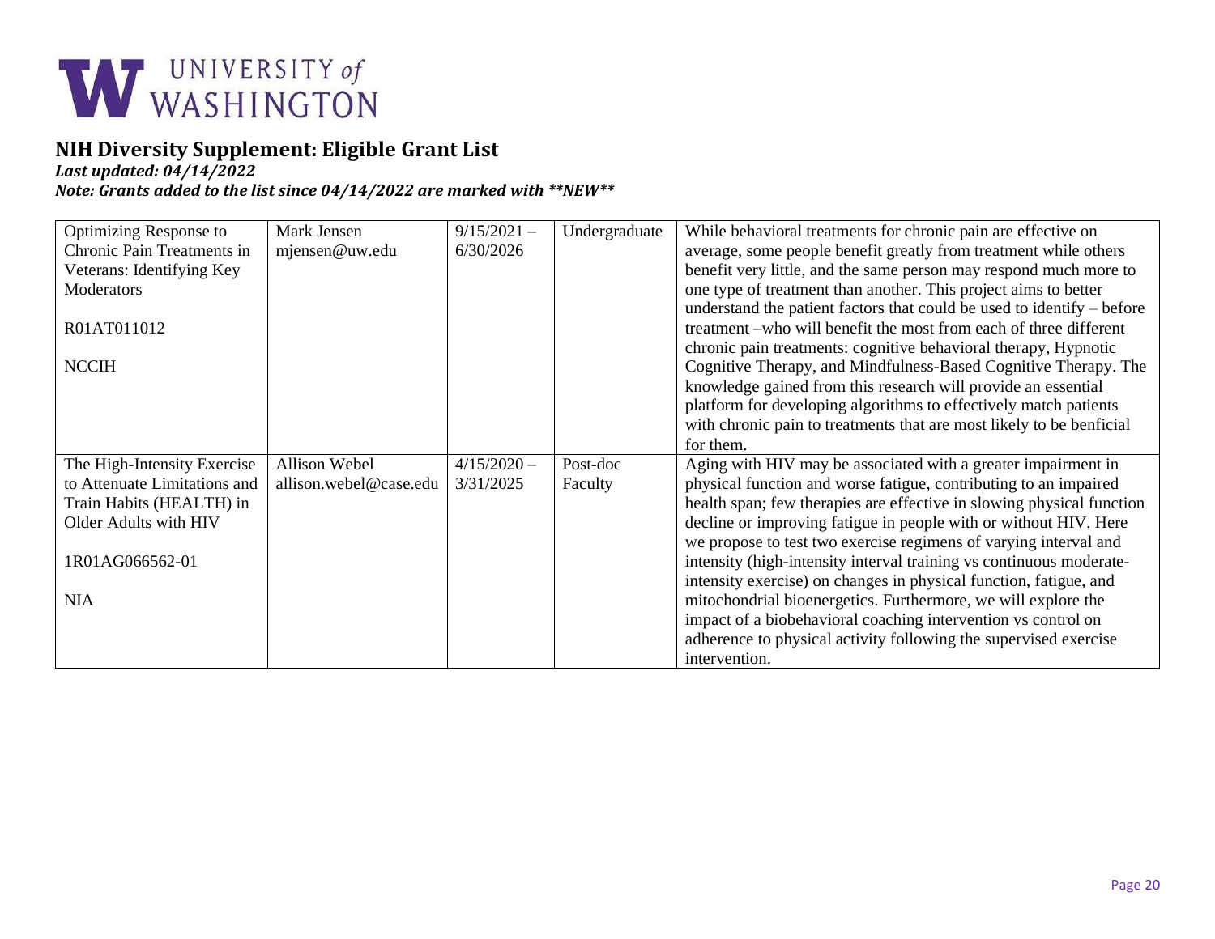

*Last updated: 04/14/2022*

| Optimizing Response to       | Mark Jensen            | $9/15/2021 -$ | Undergraduate | While behavioral treatments for chronic pain are effective on          |
|------------------------------|------------------------|---------------|---------------|------------------------------------------------------------------------|
| Chronic Pain Treatments in   | mjensen@uw.edu         | 6/30/2026     |               | average, some people benefit greatly from treatment while others       |
| Veterans: Identifying Key    |                        |               |               | benefit very little, and the same person may respond much more to      |
| <b>Moderators</b>            |                        |               |               | one type of treatment than another. This project aims to better        |
|                              |                        |               |               | understand the patient factors that could be used to identify – before |
| R01AT011012                  |                        |               |               | treatment -who will benefit the most from each of three different      |
|                              |                        |               |               |                                                                        |
|                              |                        |               |               | chronic pain treatments: cognitive behavioral therapy, Hypnotic        |
| <b>NCCIH</b>                 |                        |               |               | Cognitive Therapy, and Mindfulness-Based Cognitive Therapy. The        |
|                              |                        |               |               | knowledge gained from this research will provide an essential          |
|                              |                        |               |               | platform for developing algorithms to effectively match patients       |
|                              |                        |               |               | with chronic pain to treatments that are most likely to be benficial   |
|                              |                        |               |               | for them.                                                              |
| The High-Intensity Exercise  | Allison Webel          | $4/15/2020 -$ | Post-doc      | Aging with HIV may be associated with a greater impairment in          |
| to Attenuate Limitations and | allison.webel@case.edu | 3/31/2025     | Faculty       | physical function and worse fatigue, contributing to an impaired       |
| Train Habits (HEALTH) in     |                        |               |               | health span; few therapies are effective in slowing physical function  |
| Older Adults with HIV        |                        |               |               | decline or improving fatigue in people with or without HIV. Here       |
|                              |                        |               |               | we propose to test two exercise regimens of varying interval and       |
| 1R01AG066562-01              |                        |               |               | intensity (high-intensity interval training vs continuous moderate-    |
|                              |                        |               |               | intensity exercise) on changes in physical function, fatigue, and      |
| <b>NIA</b>                   |                        |               |               | mitochondrial bioenergetics. Furthermore, we will explore the          |
|                              |                        |               |               | impact of a biobehavioral coaching intervention vs control on          |
|                              |                        |               |               | adherence to physical activity following the supervised exercise       |
|                              |                        |               |               | intervention.                                                          |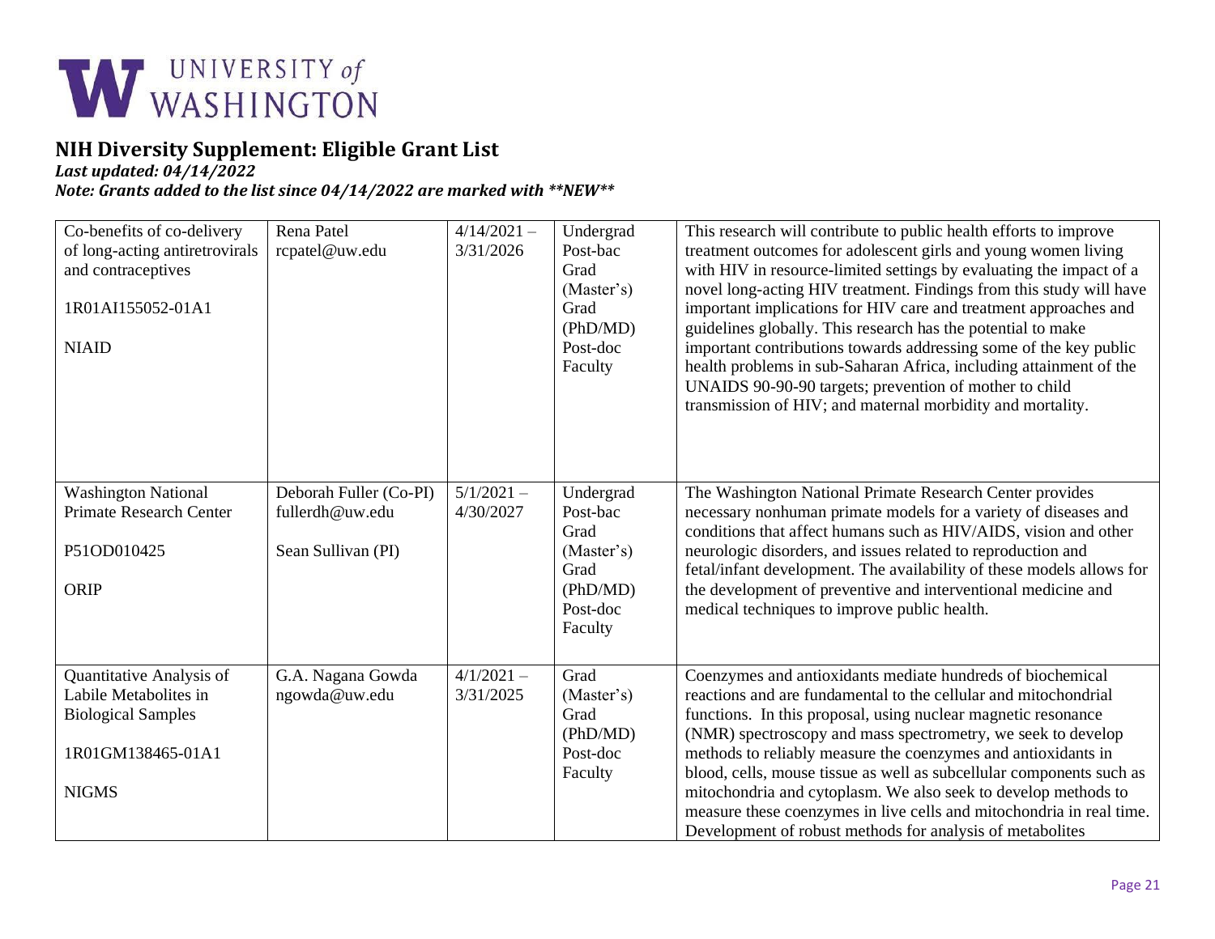

*Last updated: 04/14/2022*

| Co-benefits of co-delivery<br>of long-acting antiretrovirals<br>and contraceptives<br>1R01AI155052-01A1<br><b>NIAID</b> | Rena Patel<br>rcpatel@uw.edu                                    | $4/14/2021 -$<br>3/31/2026 | Undergrad<br>Post-bac<br>Grad<br>(Master's)<br>Grad<br>(PhD/MD)<br>Post-doc<br>Faculty | This research will contribute to public health efforts to improve<br>treatment outcomes for adolescent girls and young women living<br>with HIV in resource-limited settings by evaluating the impact of a<br>novel long-acting HIV treatment. Findings from this study will have<br>important implications for HIV care and treatment approaches and<br>guidelines globally. This research has the potential to make<br>important contributions towards addressing some of the key public<br>health problems in sub-Saharan Africa, including attainment of the<br>UNAIDS 90-90-90 targets; prevention of mother to child<br>transmission of HIV; and maternal morbidity and mortality. |
|-------------------------------------------------------------------------------------------------------------------------|-----------------------------------------------------------------|----------------------------|----------------------------------------------------------------------------------------|------------------------------------------------------------------------------------------------------------------------------------------------------------------------------------------------------------------------------------------------------------------------------------------------------------------------------------------------------------------------------------------------------------------------------------------------------------------------------------------------------------------------------------------------------------------------------------------------------------------------------------------------------------------------------------------|
| <b>Washington National</b><br><b>Primate Research Center</b><br>P51OD010425<br>ORIP                                     | Deborah Fuller (Co-PI)<br>fullerdh@uw.edu<br>Sean Sullivan (PI) | $5/1/2021 -$<br>4/30/2027  | Undergrad<br>Post-bac<br>Grad<br>(Master's)<br>Grad<br>(PhD/MD)<br>Post-doc<br>Faculty | The Washington National Primate Research Center provides<br>necessary nonhuman primate models for a variety of diseases and<br>conditions that affect humans such as HIV/AIDS, vision and other<br>neurologic disorders, and issues related to reproduction and<br>fetal/infant development. The availability of these models allows for<br>the development of preventive and interventional medicine and<br>medical techniques to improve public health.                                                                                                                                                                                                                                |
| Quantitative Analysis of<br>Labile Metabolites in<br><b>Biological Samples</b><br>1R01GM138465-01A1<br><b>NIGMS</b>     | G.A. Nagana Gowda<br>ngowda@uw.edu                              | $4/1/2021 -$<br>3/31/2025  | Grad<br>(Master's)<br>Grad<br>(PhD/MD)<br>Post-doc<br>Faculty                          | Coenzymes and antioxidants mediate hundreds of biochemical<br>reactions and are fundamental to the cellular and mitochondrial<br>functions. In this proposal, using nuclear magnetic resonance<br>(NMR) spectroscopy and mass spectrometry, we seek to develop<br>methods to reliably measure the coenzymes and antioxidants in<br>blood, cells, mouse tissue as well as subcellular components such as<br>mitochondria and cytoplasm. We also seek to develop methods to<br>measure these coenzymes in live cells and mitochondria in real time.<br>Development of robust methods for analysis of metabolites                                                                           |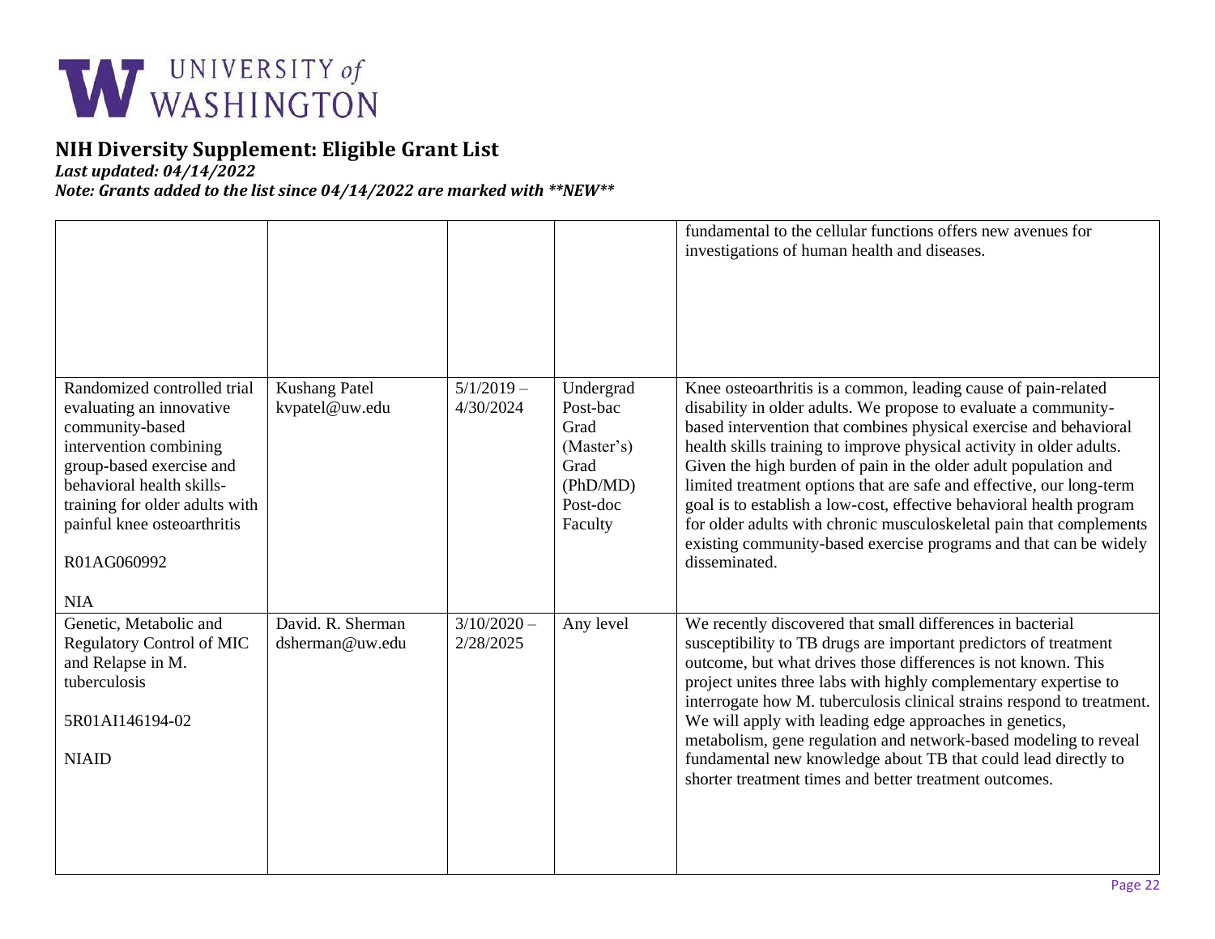

*Last updated: 04/14/2022*

|                                                                                                                                                                                                                                                             |                                        |                            |                                                                                        | fundamental to the cellular functions offers new avenues for<br>investigations of human health and diseases.                                                                                                                                                                                                                                                                                                                                                                                                                                                                                                                                                   |
|-------------------------------------------------------------------------------------------------------------------------------------------------------------------------------------------------------------------------------------------------------------|----------------------------------------|----------------------------|----------------------------------------------------------------------------------------|----------------------------------------------------------------------------------------------------------------------------------------------------------------------------------------------------------------------------------------------------------------------------------------------------------------------------------------------------------------------------------------------------------------------------------------------------------------------------------------------------------------------------------------------------------------------------------------------------------------------------------------------------------------|
| Randomized controlled trial<br>evaluating an innovative<br>community-based<br>intervention combining<br>group-based exercise and<br>behavioral health skills-<br>training for older adults with<br>painful knee osteoarthritis<br>R01AG060992<br><b>NIA</b> | <b>Kushang Patel</b><br>kvpatel@uw.edu | $5/1/2019 -$<br>4/30/2024  | Undergrad<br>Post-bac<br>Grad<br>(Master's)<br>Grad<br>(PhD/MD)<br>Post-doc<br>Faculty | Knee osteoarthritis is a common, leading cause of pain-related<br>disability in older adults. We propose to evaluate a community-<br>based intervention that combines physical exercise and behavioral<br>health skills training to improve physical activity in older adults.<br>Given the high burden of pain in the older adult population and<br>limited treatment options that are safe and effective, our long-term<br>goal is to establish a low-cost, effective behavioral health program<br>for older adults with chronic musculoskeletal pain that complements<br>existing community-based exercise programs and that can be widely<br>disseminated. |
| Genetic, Metabolic and<br><b>Regulatory Control of MIC</b><br>and Relapse in M.<br>tuberculosis<br>5R01AI146194-02<br><b>NIAID</b>                                                                                                                          | David. R. Sherman<br>dsherman@uw.edu   | $3/10/2020 -$<br>2/28/2025 | Any level                                                                              | We recently discovered that small differences in bacterial<br>susceptibility to TB drugs are important predictors of treatment<br>outcome, but what drives those differences is not known. This<br>project unites three labs with highly complementary expertise to<br>interrogate how M. tuberculosis clinical strains respond to treatment.<br>We will apply with leading edge approaches in genetics,<br>metabolism, gene regulation and network-based modeling to reveal<br>fundamental new knowledge about TB that could lead directly to<br>shorter treatment times and better treatment outcomes.                                                       |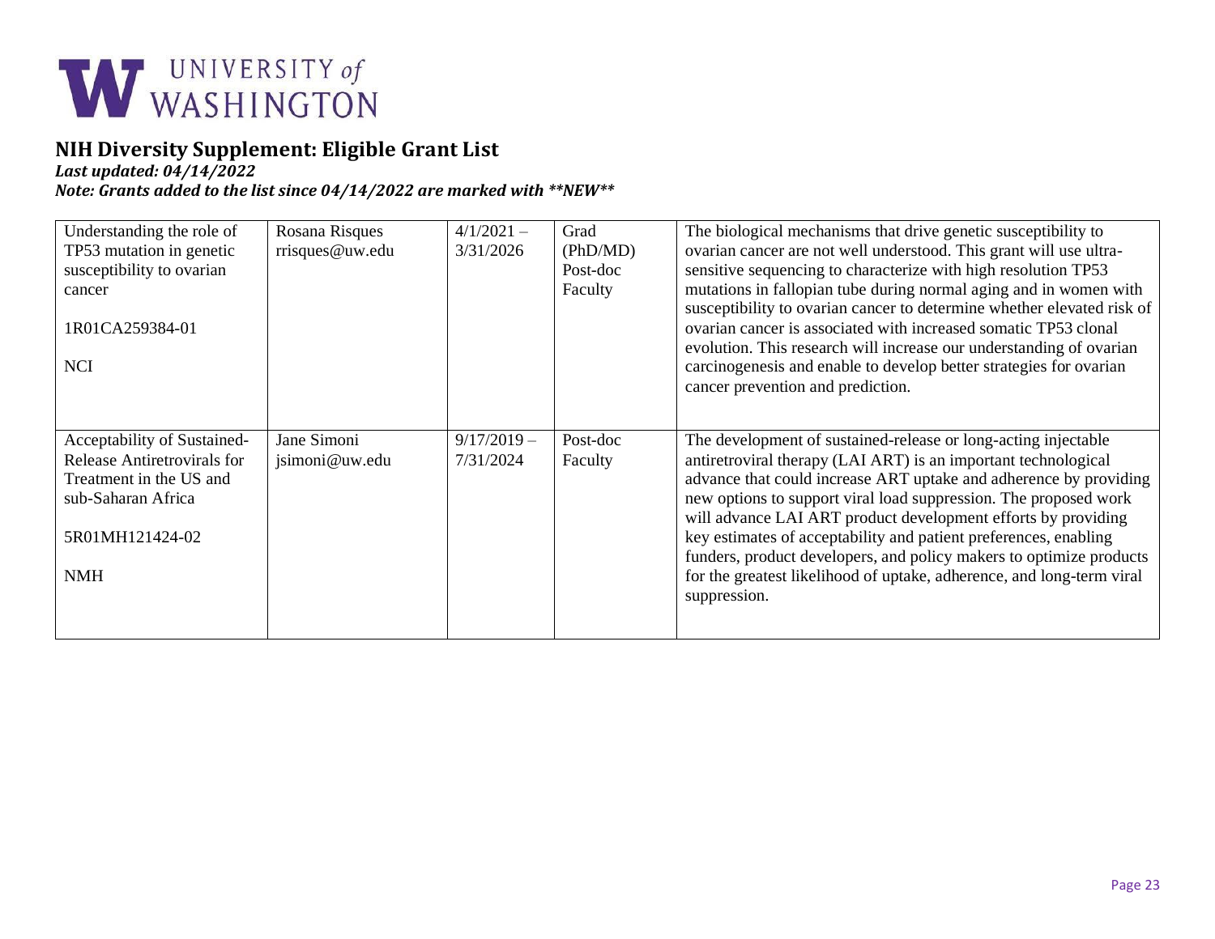

*Last updated: 04/14/2022*

| Understanding the role of<br>TP53 mutation in genetic<br>susceptibility to ovarian<br>cancer<br>1R01CA259384-01<br><b>NCI</b>                | Rosana Risques<br>rrisques@uw.edu | $4/1/2021 -$<br>3/31/2026  | Grad<br>(PhD/MD)<br>Post-doc<br>Faculty | The biological mechanisms that drive genetic susceptibility to<br>ovarian cancer are not well understood. This grant will use ultra-<br>sensitive sequencing to characterize with high resolution TP53<br>mutations in fallopian tube during normal aging and in women with<br>susceptibility to ovarian cancer to determine whether elevated risk of<br>ovarian cancer is associated with increased somatic TP53 clonal<br>evolution. This research will increase our understanding of ovarian<br>carcinogenesis and enable to develop better strategies for ovarian<br>cancer prevention and prediction. |
|----------------------------------------------------------------------------------------------------------------------------------------------|-----------------------------------|----------------------------|-----------------------------------------|------------------------------------------------------------------------------------------------------------------------------------------------------------------------------------------------------------------------------------------------------------------------------------------------------------------------------------------------------------------------------------------------------------------------------------------------------------------------------------------------------------------------------------------------------------------------------------------------------------|
| Acceptability of Sustained-<br>Release Antiretrovirals for<br>Treatment in the US and<br>sub-Saharan Africa<br>5R01MH121424-02<br><b>NMH</b> | Jane Simoni<br>jsimoni@uw.edu     | $9/17/2019 -$<br>7/31/2024 | Post-doc<br>Faculty                     | The development of sustained-release or long-acting injectable<br>antiretroviral therapy (LAI ART) is an important technological<br>advance that could increase ART uptake and adherence by providing<br>new options to support viral load suppression. The proposed work<br>will advance LAI ART product development efforts by providing<br>key estimates of acceptability and patient preferences, enabling<br>funders, product developers, and policy makers to optimize products<br>for the greatest likelihood of uptake, adherence, and long-term viral<br>suppression.                             |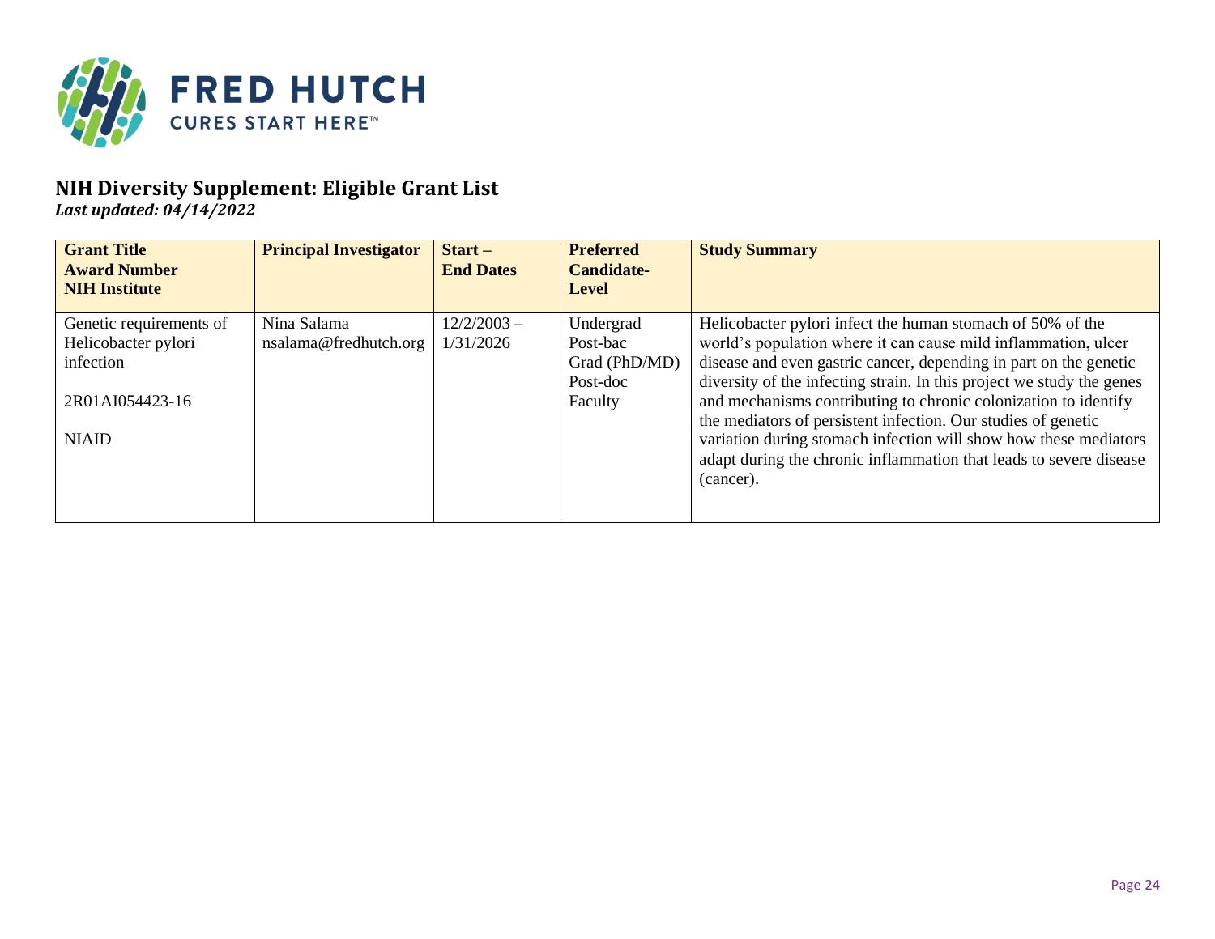

*Last updated: 04/14/2022*

| <b>Grant Title</b><br><b>Award Number</b><br><b>NIH Institute</b> | <b>Principal Investigator</b>        | $Start -$<br><b>End Dates</b> | <b>Preferred</b><br><b>Candidate-</b><br><b>Level</b> | <b>Study Summary</b>                                                                                                                                                                                      |
|-------------------------------------------------------------------|--------------------------------------|-------------------------------|-------------------------------------------------------|-----------------------------------------------------------------------------------------------------------------------------------------------------------------------------------------------------------|
| Genetic requirements of<br>Helicobacter pylori<br>infection       | Nina Salama<br>nsalama@fredhutch.org | $12/2/2003 -$<br>1/31/2026    | Undergrad<br>Post-bac<br>Grad (PhD/MD)                | Helicobacter pylori infect the human stomach of 50% of the<br>world's population where it can cause mild inflammation, ulcer<br>disease and even gastric cancer, depending in part on the genetic         |
| 2R01AI054423-16                                                   |                                      |                               | Post-doc<br>Faculty                                   | diversity of the infecting strain. In this project we study the genes<br>and mechanisms contributing to chronic colonization to identify<br>the mediators of persistent infection. Our studies of genetic |
| <b>NIAID</b>                                                      |                                      |                               |                                                       | variation during stomach infection will show how these mediators<br>adapt during the chronic inflammation that leads to severe disease<br>(cancer).                                                       |